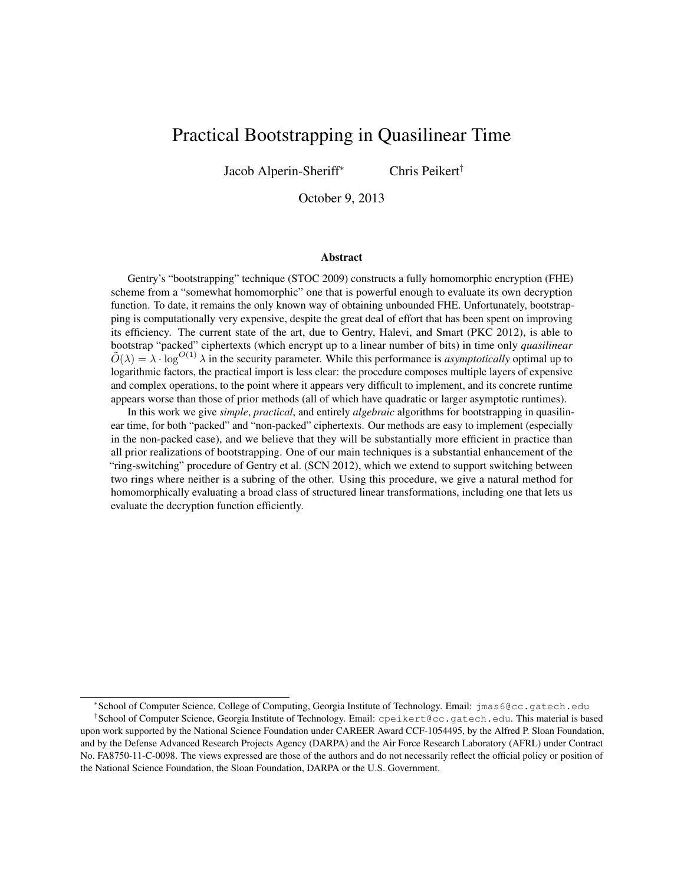# Practical Bootstrapping in Quasilinear Time

Jacob Alperin-Sheriff<sup>∗</sup> Chris Peikert†

October 9, 2013

#### Abstract

Gentry's "bootstrapping" technique (STOC 2009) constructs a fully homomorphic encryption (FHE) scheme from a "somewhat homomorphic" one that is powerful enough to evaluate its own decryption function. To date, it remains the only known way of obtaining unbounded FHE. Unfortunately, bootstrapping is computationally very expensive, despite the great deal of effort that has been spent on improving its efficiency. The current state of the art, due to Gentry, Halevi, and Smart (PKC 2012), is able to bootstrap "packed" ciphertexts (which encrypt up to a linear number of bits) in time only *quasilinear*  $\tilde{O}(\lambda) = \lambda \cdot \log^{O(1)} \lambda$  in the security parameter. While this performance is *asymptotically* optimal up to logarithmic factors, the practical import is less clear: the procedure composes multiple layers of expensive and complex operations, to the point where it appears very difficult to implement, and its concrete runtime appears worse than those of prior methods (all of which have quadratic or larger asymptotic runtimes).

In this work we give *simple*, *practical*, and entirely *algebraic* algorithms for bootstrapping in quasilinear time, for both "packed" and "non-packed" ciphertexts. Our methods are easy to implement (especially in the non-packed case), and we believe that they will be substantially more efficient in practice than all prior realizations of bootstrapping. One of our main techniques is a substantial enhancement of the "ring-switching" procedure of Gentry et al. (SCN 2012), which we extend to support switching between two rings where neither is a subring of the other. Using this procedure, we give a natural method for homomorphically evaluating a broad class of structured linear transformations, including one that lets us evaluate the decryption function efficiently.

<sup>∗</sup> School of Computer Science, College of Computing, Georgia Institute of Technology. Email: jmas6@cc.gatech.edu † School of Computer Science, Georgia Institute of Technology. Email: cpeikert@cc.gatech.edu. This material is based

upon work supported by the National Science Foundation under CAREER Award CCF-1054495, by the Alfred P. Sloan Foundation, and by the Defense Advanced Research Projects Agency (DARPA) and the Air Force Research Laboratory (AFRL) under Contract No. FA8750-11-C-0098. The views expressed are those of the authors and do not necessarily reflect the official policy or position of the National Science Foundation, the Sloan Foundation, DARPA or the U.S. Government.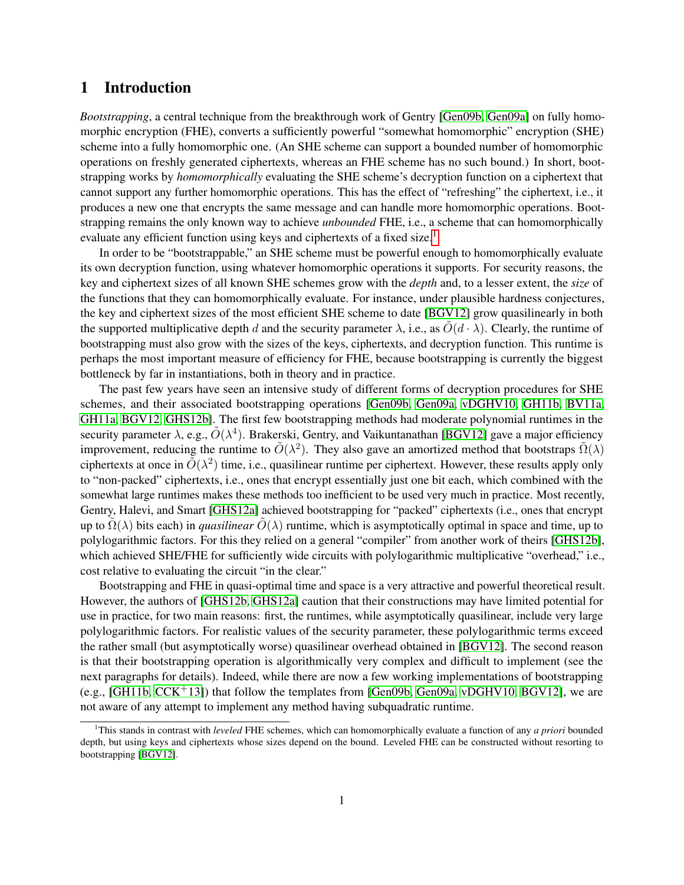# 1 Introduction

*Bootstrapping*, a central technique from the breakthrough work of Gentry [\[Gen09b,](#page-23-0) [Gen09a\]](#page-23-1) on fully homomorphic encryption (FHE), converts a sufficiently powerful "somewhat homomorphic" encryption (SHE) scheme into a fully homomorphic one. (An SHE scheme can support a bounded number of homomorphic operations on freshly generated ciphertexts, whereas an FHE scheme has no such bound.) In short, bootstrapping works by *homomorphically* evaluating the SHE scheme's decryption function on a ciphertext that cannot support any further homomorphic operations. This has the effect of "refreshing" the ciphertext, i.e., it produces a new one that encrypts the same message and can handle more homomorphic operations. Bootstrapping remains the only known way to achieve *unbounded* FHE, i.e., a scheme that can homomorphically evaluate any efficient function using keys and ciphertexts of a fixed size.<sup>[1](#page-1-0)</sup>

In order to be "bootstrappable," an SHE scheme must be powerful enough to homomorphically evaluate its own decryption function, using whatever homomorphic operations it supports. For security reasons, the key and ciphertext sizes of all known SHE schemes grow with the *depth* and, to a lesser extent, the *size* of the functions that they can homomorphically evaluate. For instance, under plausible hardness conjectures, the key and ciphertext sizes of the most efficient SHE scheme to date [\[BGV12\]](#page-23-2) grow quasilinearly in both the supported multiplicative depth d and the security parameter  $\lambda$ , i.e., as  $\hat{O}(d \cdot \lambda)$ . Clearly, the runtime of bootstrapping must also grow with the sizes of the keys, ciphertexts, and decryption function. This runtime is perhaps the most important measure of efficiency for FHE, because bootstrapping is currently the biggest bottleneck by far in instantiations, both in theory and in practice.

The past few years have seen an intensive study of different forms of decryption procedures for SHE schemes, and their associated bootstrapping operations [\[Gen09b,](#page-23-0) [Gen09a,](#page-23-1) [vDGHV10,](#page-24-0) [GH11b,](#page-23-3) [BV11a,](#page-23-4) [GH11a,](#page-23-5) [BGV12,](#page-23-2) [GHS12b\]](#page-23-6). The first few bootstrapping methods had moderate polynomial runtimes in the security parameter  $\lambda$ , e.g.,  $\tilde{O}(\lambda^4)$ . Brakerski, Gentry, and Vaikuntanathan [\[BGV12\]](#page-23-2) gave a major efficiency improvement, reducing the runtime to  $\tilde{O}(\lambda^2)$ . They also gave an amortized method that bootstraps  $\tilde{\Omega}(\lambda)$ ciphertexts at once in  $\tilde{O}(\lambda^2)$  time, i.e., quasilinear runtime per ciphertext. However, these results apply only to "non-packed" ciphertexts, i.e., ones that encrypt essentially just one bit each, which combined with the somewhat large runtimes makes these methods too inefficient to be used very much in practice. Most recently, Gentry, Halevi, and Smart [\[GHS12a\]](#page-23-7) achieved bootstrapping for "packed" ciphertexts (i.e., ones that encrypt up to  $\Omega(\lambda)$  bits each) in *quasilinear*  $\tilde{O}(\lambda)$  runtime, which is asymptotically optimal in space and time, up to polylogarithmic factors. For this they relied on a general "compiler" from another work of theirs [\[GHS12b\]](#page-23-6), which achieved SHE/FHE for sufficiently wide circuits with polylogarithmic multiplicative "overhead," i.e., cost relative to evaluating the circuit "in the clear."

Bootstrapping and FHE in quasi-optimal time and space is a very attractive and powerful theoretical result. However, the authors of [\[GHS12b,](#page-23-6) [GHS12a\]](#page-23-7) caution that their constructions may have limited potential for use in practice, for two main reasons: first, the runtimes, while asymptotically quasilinear, include very large polylogarithmic factors. For realistic values of the security parameter, these polylogarithmic terms exceed the rather small (but asymptotically worse) quasilinear overhead obtained in [\[BGV12\]](#page-23-2). The second reason is that their bootstrapping operation is algorithmically very complex and difficult to implement (see the next paragraphs for details). Indeed, while there are now a few working implementations of bootstrapping (e.g., [\[GH11b,](#page-23-3)  $CCK$ <sup>+</sup>13]) that follow the templates from [\[Gen09b,](#page-23-0) [Gen09a,](#page-23-1) [vDGHV10,](#page-24-0) [BGV12\]](#page-23-2), we are not aware of any attempt to implement any method having subquadratic runtime.

<span id="page-1-0"></span><sup>1</sup>This stands in contrast with *leveled* FHE schemes, which can homomorphically evaluate a function of any *a priori* bounded depth, but using keys and ciphertexts whose sizes depend on the bound. Leveled FHE can be constructed without resorting to bootstrapping [\[BGV12\]](#page-23-2).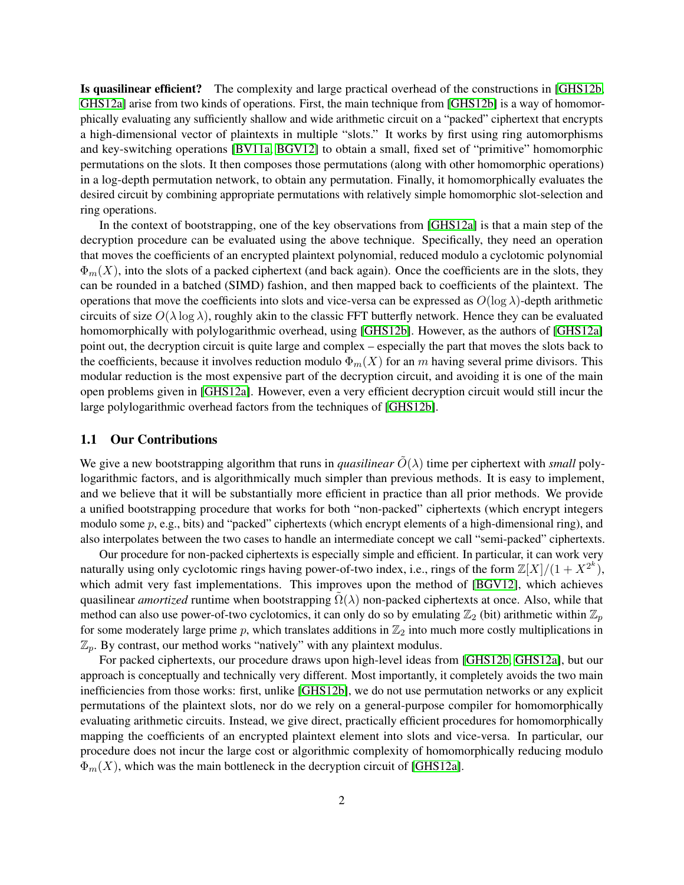Is quasilinear efficient? The complexity and large practical overhead of the constructions in [\[GHS12b,](#page-23-6) [GHS12a\]](#page-23-7) arise from two kinds of operations. First, the main technique from [\[GHS12b\]](#page-23-6) is a way of homomorphically evaluating any sufficiently shallow and wide arithmetic circuit on a "packed" ciphertext that encrypts a high-dimensional vector of plaintexts in multiple "slots." It works by first using ring automorphisms and key-switching operations [\[BV11a,](#page-23-4) [BGV12\]](#page-23-2) to obtain a small, fixed set of "primitive" homomorphic permutations on the slots. It then composes those permutations (along with other homomorphic operations) in a log-depth permutation network, to obtain any permutation. Finally, it homomorphically evaluates the desired circuit by combining appropriate permutations with relatively simple homomorphic slot-selection and ring operations.

In the context of bootstrapping, one of the key observations from [\[GHS12a\]](#page-23-7) is that a main step of the decryption procedure can be evaluated using the above technique. Specifically, they need an operation that moves the coefficients of an encrypted plaintext polynomial, reduced modulo a cyclotomic polynomial  $\Phi_m(X)$ , into the slots of a packed ciphertext (and back again). Once the coefficients are in the slots, they can be rounded in a batched (SIMD) fashion, and then mapped back to coefficients of the plaintext. The operations that move the coefficients into slots and vice-versa can be expressed as  $O(\log \lambda)$ -depth arithmetic circuits of size  $O(\lambda \log \lambda)$ , roughly akin to the classic FFT butterfly network. Hence they can be evaluated homomorphically with polylogarithmic overhead, using [\[GHS12b\]](#page-23-6). However, as the authors of [\[GHS12a\]](#page-23-7) point out, the decryption circuit is quite large and complex – especially the part that moves the slots back to the coefficients, because it involves reduction modulo  $\Phi_m(X)$  for an m having several prime divisors. This modular reduction is the most expensive part of the decryption circuit, and avoiding it is one of the main open problems given in [\[GHS12a\]](#page-23-7). However, even a very efficient decryption circuit would still incur the large polylogarithmic overhead factors from the techniques of [\[GHS12b\]](#page-23-6).

### 1.1 Our Contributions

We give a new bootstrapping algorithm that runs in *quasilinear*  $\tilde{O}(\lambda)$  time per ciphertext with *small* polylogarithmic factors, and is algorithmically much simpler than previous methods. It is easy to implement, and we believe that it will be substantially more efficient in practice than all prior methods. We provide a unified bootstrapping procedure that works for both "non-packed" ciphertexts (which encrypt integers modulo some  $p$ , e.g., bits) and "packed" ciphertexts (which encrypt elements of a high-dimensional ring), and also interpolates between the two cases to handle an intermediate concept we call "semi-packed" ciphertexts.

Our procedure for non-packed ciphertexts is especially simple and efficient. In particular, it can work very naturally using only cyclotomic rings having power-of-two index, i.e., rings of the form  $\mathbb{Z}[X]/(1 + X^{2^k})$ , which admit very fast implementations. This improves upon the method of [\[BGV12\]](#page-23-2), which achieves quasilinear *amortized* runtime when bootstrapping  $\Omega(\lambda)$  non-packed ciphertexts at once. Also, while that method can also use power-of-two cyclotomics, it can only do so by emulating  $\mathbb{Z}_2$  (bit) arithmetic within  $\mathbb{Z}_p$ for some moderately large prime  $p$ , which translates additions in  $\mathbb{Z}_2$  into much more costly multiplications in  $\mathbb{Z}_p$ . By contrast, our method works "natively" with any plaintext modulus.

For packed ciphertexts, our procedure draws upon high-level ideas from [\[GHS12b,](#page-23-6) [GHS12a\]](#page-23-7), but our approach is conceptually and technically very different. Most importantly, it completely avoids the two main inefficiencies from those works: first, unlike [\[GHS12b\]](#page-23-6), we do not use permutation networks or any explicit permutations of the plaintext slots, nor do we rely on a general-purpose compiler for homomorphically evaluating arithmetic circuits. Instead, we give direct, practically efficient procedures for homomorphically mapping the coefficients of an encrypted plaintext element into slots and vice-versa. In particular, our procedure does not incur the large cost or algorithmic complexity of homomorphically reducing modulo  $\Phi_m(X)$ , which was the main bottleneck in the decryption circuit of [\[GHS12a\]](#page-23-7).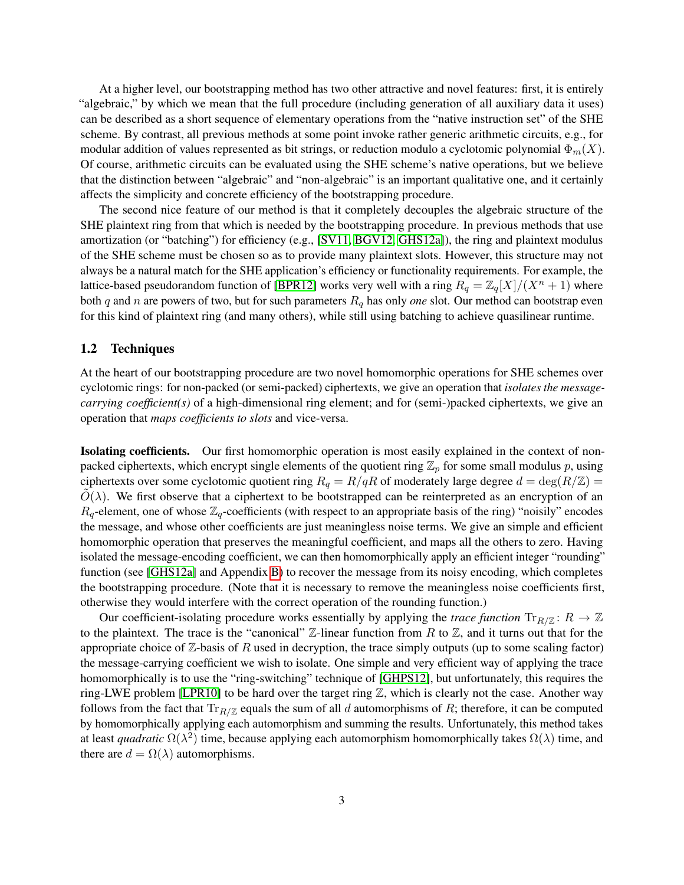At a higher level, our bootstrapping method has two other attractive and novel features: first, it is entirely "algebraic," by which we mean that the full procedure (including generation of all auxiliary data it uses) can be described as a short sequence of elementary operations from the "native instruction set" of the SHE scheme. By contrast, all previous methods at some point invoke rather generic arithmetic circuits, e.g., for modular addition of values represented as bit strings, or reduction modulo a cyclotomic polynomial  $\Phi_m(X)$ . Of course, arithmetic circuits can be evaluated using the SHE scheme's native operations, but we believe that the distinction between "algebraic" and "non-algebraic" is an important qualitative one, and it certainly affects the simplicity and concrete efficiency of the bootstrapping procedure.

The second nice feature of our method is that it completely decouples the algebraic structure of the SHE plaintext ring from that which is needed by the bootstrapping procedure. In previous methods that use amortization (or "batching") for efficiency (e.g., [\[SV11,](#page-23-9) [BGV12,](#page-23-2) [GHS12a\]](#page-23-7)), the ring and plaintext modulus of the SHE scheme must be chosen so as to provide many plaintext slots. However, this structure may not always be a natural match for the SHE application's efficiency or functionality requirements. For example, the lattice-based pseudorandom function of [\[BPR12\]](#page-23-10) works very well with a ring  $R_q = \mathbb{Z}_q[X]/(X^n + 1)$  where both q and n are powers of two, but for such parameters  $R_q$  has only *one* slot. Our method can bootstrap even for this kind of plaintext ring (and many others), while still using batching to achieve quasilinear runtime.

#### 1.2 Techniques

At the heart of our bootstrapping procedure are two novel homomorphic operations for SHE schemes over cyclotomic rings: for non-packed (or semi-packed) ciphertexts, we give an operation that *isolates the messagecarrying coefficient(s)* of a high-dimensional ring element; and for (semi-)packed ciphertexts, we give an operation that *maps coefficients to slots* and vice-versa.

Isolating coefficients. Our first homomorphic operation is most easily explained in the context of nonpacked ciphertexts, which encrypt single elements of the quotient ring  $\mathbb{Z}_p$  for some small modulus p, using ciphertexts over some cyclotomic quotient ring  $R_q = R/qR$  of moderately large degree  $d = \deg(R/\mathbb{Z}) =$  $O(\lambda)$ . We first observe that a ciphertext to be bootstrapped can be reinterpreted as an encryption of an  $R_q$ -element, one of whose  $\mathbb{Z}_q$ -coefficients (with respect to an appropriate basis of the ring) "noisily" encodes the message, and whose other coefficients are just meaningless noise terms. We give an simple and efficient homomorphic operation that preserves the meaningful coefficient, and maps all the others to zero. Having isolated the message-encoding coefficient, we can then homomorphically apply an efficient integer "rounding" function (see [\[GHS12a\]](#page-23-7) and Appendix [B\)](#page-24-1) to recover the message from its noisy encoding, which completes the bootstrapping procedure. (Note that it is necessary to remove the meaningless noise coefficients first, otherwise they would interfere with the correct operation of the rounding function.)

Our coefficient-isolating procedure works essentially by applying the *trace function*  $\text{Tr}_{R/\mathbb{Z}}\colon R \to \mathbb{Z}$ to the plaintext. The trace is the "canonical"  $\mathbb{Z}$ -linear function from R to  $\mathbb{Z}$ , and it turns out that for the appropriate choice of  $\mathbb Z$ -basis of R used in decryption, the trace simply outputs (up to some scaling factor) the message-carrying coefficient we wish to isolate. One simple and very efficient way of applying the trace homomorphically is to use the "ring-switching" technique of [\[GHPS12\]](#page-23-11), but unfortunately, this requires the ring-LWE problem [\[LPR10\]](#page-23-12) to be hard over the target ring Z, which is clearly not the case. Another way follows from the fact that  $\text{Tr}_{R/\mathbb{Z}}$  equals the sum of all d automorphisms of R; therefore, it can be computed by homomorphically applying each automorphism and summing the results. Unfortunately, this method takes at least *quadratic*  $\Omega(\lambda^2)$  time, because applying each automorphism homomorphically takes  $\Omega(\lambda)$  time, and there are  $d = \Omega(\lambda)$  automorphisms.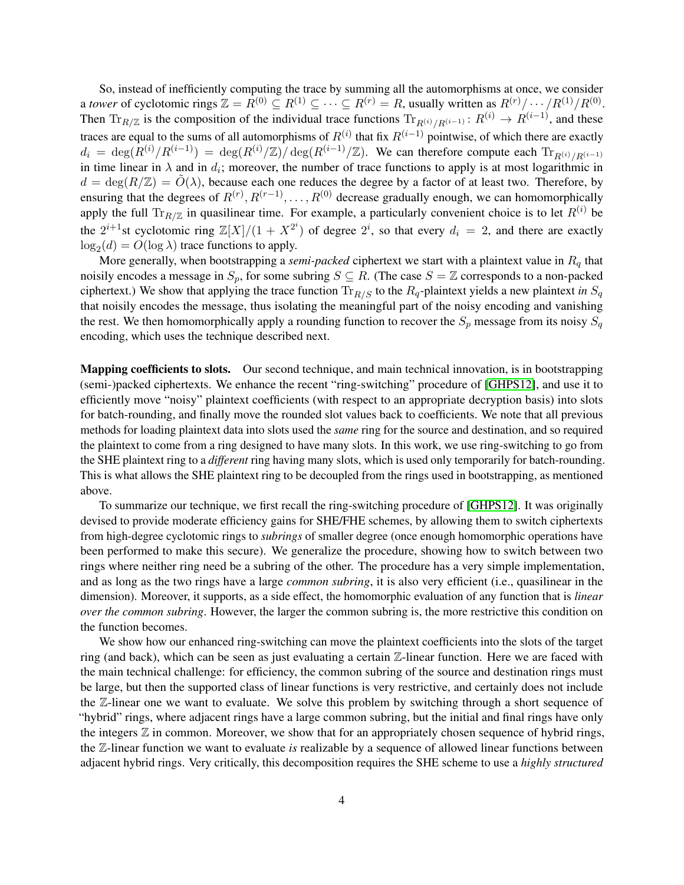So, instead of inefficiently computing the trace by summing all the automorphisms at once, we consider a *tower* of cyclotomic rings  $\mathbb{Z} = R^{(0)} \subseteq R^{(1)} \subseteq \cdots \subseteq R^{(r)} = R$ , usually written as  $R^{(r)} / \cdots / R^{(1)} / R^{(0)}$ . Then  $\text{Tr}_{R/\mathbb{Z}}$  is the composition of the individual trace functions  $\text{Tr}_{R^{(i)}/R^{(i-1)}}\colon R^{(i)} \to R^{(i-1)}$ , and these traces are equal to the sums of all automorphisms of  $R^{(i)}$  that fix  $R^{(i-1)}$  pointwise, of which there are exactly  $d_i = \deg(R^{(i)}/R^{(i-1)}) = \deg(R^{(i)}/\mathbb{Z})/\deg(R^{(i-1)}/\mathbb{Z})$ . We can therefore compute each  $\text{Tr}_{R^{(i)}/R^{(i-1)}}$ in time linear in  $\lambda$  and in  $d_i$ ; moreover, the number of trace functions to apply is at most logarithmic in  $d = \deg(R/\mathbb{Z}) = \tilde{O}(\lambda)$ , because each one reduces the degree by a factor of at least two. Therefore, by ensuring that the degrees of  $R^{(r)}, R^{(r-1)}, \ldots, R^{(0)}$  decrease gradually enough, we can homomorphically apply the full  $\text{Tr}_{R/\mathbb{Z}}$  in quasilinear time. For example, a particularly convenient choice is to let  $R^{(i)}$  be the  $2^{i+1}$ st cyclotomic ring  $\mathbb{Z}[X]/(1+X^{2^i})$  of degree  $2^i$ , so that every  $d_i = 2$ , and there are exactly  $\log_2(d) = O(\log \lambda)$  trace functions to apply.

More generally, when bootstrapping a *semi-packed* ciphertext we start with a plaintext value in  $R<sub>q</sub>$  that noisily encodes a message in  $S_p$ , for some subring  $S \subseteq R$ . (The case  $S = \mathbb{Z}$  corresponds to a non-packed ciphertext.) We show that applying the trace function  $\text{Tr}_{R/S}$  to the  $R_q$ -plaintext yields a new plaintext *in*  $S_q$ that noisily encodes the message, thus isolating the meaningful part of the noisy encoding and vanishing the rest. We then homomorphically apply a rounding function to recover the  $S_p$  message from its noisy  $S_q$ encoding, which uses the technique described next.

Mapping coefficients to slots. Our second technique, and main technical innovation, is in bootstrapping (semi-)packed ciphertexts. We enhance the recent "ring-switching" procedure of [\[GHPS12\]](#page-23-11), and use it to efficiently move "noisy" plaintext coefficients (with respect to an appropriate decryption basis) into slots for batch-rounding, and finally move the rounded slot values back to coefficients. We note that all previous methods for loading plaintext data into slots used the *same* ring for the source and destination, and so required the plaintext to come from a ring designed to have many slots. In this work, we use ring-switching to go from the SHE plaintext ring to a *different* ring having many slots, which is used only temporarily for batch-rounding. This is what allows the SHE plaintext ring to be decoupled from the rings used in bootstrapping, as mentioned above.

To summarize our technique, we first recall the ring-switching procedure of [\[GHPS12\]](#page-23-11). It was originally devised to provide moderate efficiency gains for SHE/FHE schemes, by allowing them to switch ciphertexts from high-degree cyclotomic rings to *subrings* of smaller degree (once enough homomorphic operations have been performed to make this secure). We generalize the procedure, showing how to switch between two rings where neither ring need be a subring of the other. The procedure has a very simple implementation, and as long as the two rings have a large *common subring*, it is also very efficient (i.e., quasilinear in the dimension). Moreover, it supports, as a side effect, the homomorphic evaluation of any function that is *linear over the common subring*. However, the larger the common subring is, the more restrictive this condition on the function becomes.

We show how our enhanced ring-switching can move the plaintext coefficients into the slots of the target ring (and back), which can be seen as just evaluating a certain Z-linear function. Here we are faced with the main technical challenge: for efficiency, the common subring of the source and destination rings must be large, but then the supported class of linear functions is very restrictive, and certainly does not include the Z-linear one we want to evaluate. We solve this problem by switching through a short sequence of "hybrid" rings, where adjacent rings have a large common subring, but the initial and final rings have only the integers  $\mathbb Z$  in common. Moreover, we show that for an appropriately chosen sequence of hybrid rings, the Z-linear function we want to evaluate *is* realizable by a sequence of allowed linear functions between adjacent hybrid rings. Very critically, this decomposition requires the SHE scheme to use a *highly structured*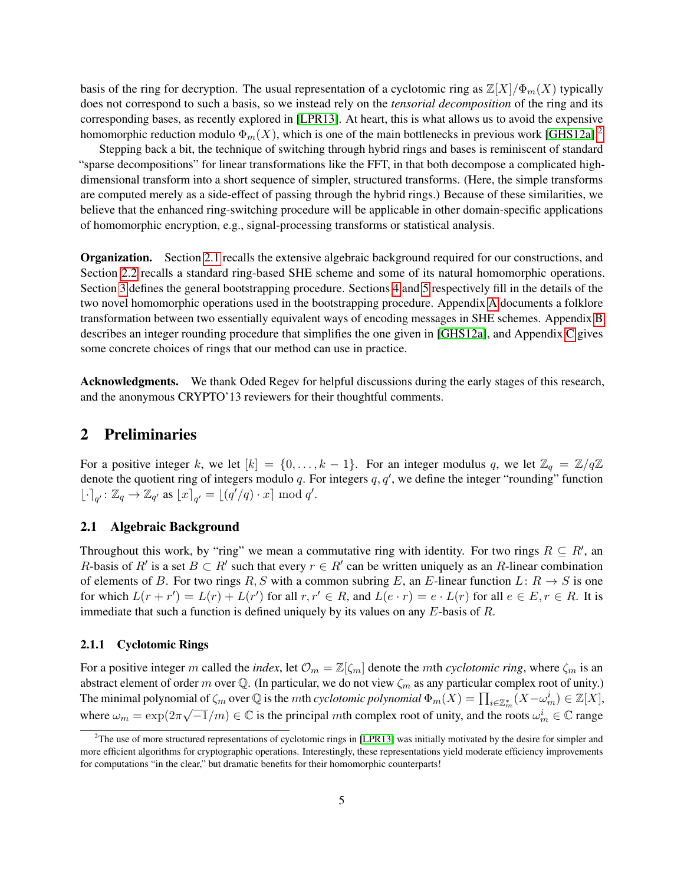basis of the ring for decryption. The usual representation of a cyclotomic ring as  $\mathbb{Z}[X]/\Phi_m(X)$  typically does not correspond to such a basis, so we instead rely on the *tensorial decomposition* of the ring and its corresponding bases, as recently explored in [\[LPR13\]](#page-23-13). At heart, this is what allows us to avoid the expensive homomorphic reduction modulo  $\Phi_m(X)$ , which is one of the main bottlenecks in previous work [\[GHS12a\]](#page-23-7).<sup>[2](#page-5-0)</sup>

Stepping back a bit, the technique of switching through hybrid rings and bases is reminiscent of standard "sparse decompositions" for linear transformations like the FFT, in that both decompose a complicated highdimensional transform into a short sequence of simpler, structured transforms. (Here, the simple transforms are computed merely as a side-effect of passing through the hybrid rings.) Because of these similarities, we believe that the enhanced ring-switching procedure will be applicable in other domain-specific applications of homomorphic encryption, e.g., signal-processing transforms or statistical analysis.

Organization. Section [2.1](#page-5-1) recalls the extensive algebraic background required for our constructions, and Section [2.2](#page-9-0) recalls a standard ring-based SHE scheme and some of its natural homomorphic operations. Section [3](#page-11-0) defines the general bootstrapping procedure. Sections [4](#page-15-0) and [5](#page-18-0) respectively fill in the details of the two novel homomorphic operations used in the bootstrapping procedure. Appendix [A](#page-24-2) documents a folklore transformation between two essentially equivalent ways of encoding messages in SHE schemes. Appendix [B](#page-24-1) describes an integer rounding procedure that simplifies the one given in [\[GHS12a\]](#page-23-7), and Appendix [C](#page-25-0) gives some concrete choices of rings that our method can use in practice.

Acknowledgments. We thank Oded Regev for helpful discussions during the early stages of this research, and the anonymous CRYPTO'13 reviewers for their thoughtful comments.

### 2 Preliminaries

For a positive integer k, we let  $[k] = \{0, \ldots, k-1\}$ . For an integer modulus q, we let  $\mathbb{Z}_q = \mathbb{Z}/q\mathbb{Z}$ denote the quotient ring of integers modulo q. For integers  $q, q'$ , we define the integer "rounding" function  $\lfloor \cdot \rceil_{q'} : \mathbb{Z}_q \to \mathbb{Z}_{q'}$  as  $\lfloor x \rceil_{q'} = \lfloor (q'/q) \cdot x \rceil \bmod q'.$ 

#### <span id="page-5-1"></span>2.1 Algebraic Background

Throughout this work, by "ring" we mean a commutative ring with identity. For two rings  $R \subseteq R'$ , and R-basis of R' is a set  $B \subset R'$  such that every  $r \in R'$  can be written uniquely as an R-linear combination of elements of B. For two rings R, S with a common subring E, an E-linear function  $L: R \to S$  is one for which  $L(r + r') = L(r) + L(r')$  for all  $r, r' \in R$ , and  $L(e \cdot r) = e \cdot L(r)$  for all  $e \in E, r \in R$ . It is immediate that such a function is defined uniquely by its values on any  $E$ -basis of  $R$ .

### 2.1.1 Cyclotomic Rings

For a positive integer m called the *index*, let  $\mathcal{O}_m = \mathbb{Z}[\zeta_m]$  denote the mth *cyclotomic ring*, where  $\zeta_m$  is an abstract element of order m over  $\mathbb Q$ . (In particular, we do not view  $\zeta_m$  as any particular complex root of unity.) The minimal polynomial of  $\zeta_m$  over  $\mathbb Q$  is the *mth cyclotomic polynomial*  $\Phi_m(X) = \prod_{i \in \mathbb Z_m^*} (X - \omega_m^i) \in \mathbb Z[X]$ , where  $\omega_m = \exp(2\pi\sqrt{-1}/m) \in \mathbb{C}$  is the principal mth complex root of unity, and the roots  $\omega_m^i \in \mathbb{C}$  range

<span id="page-5-0"></span> $2$ The use of more structured representations of cyclotomic rings in [\[LPR13\]](#page-23-13) was initially motivated by the desire for simpler and more efficient algorithms for cryptographic operations. Interestingly, these representations yield moderate efficiency improvements for computations "in the clear," but dramatic benefits for their homomorphic counterparts!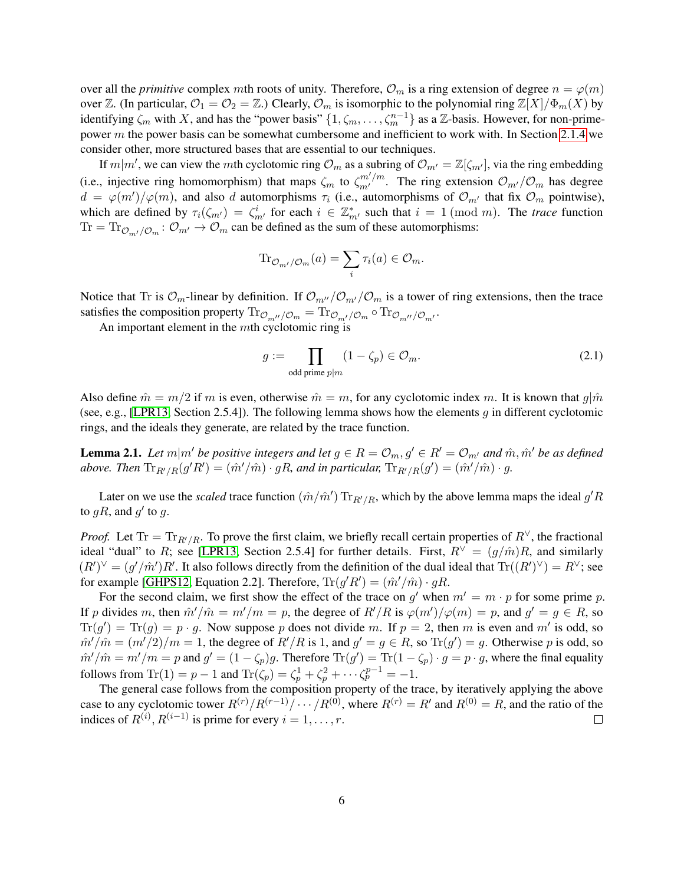over all the *primitive* complex mth roots of unity. Therefore,  $\mathcal{O}_m$  is a ring extension of degree  $n = \varphi(m)$ over Z. (In particular,  $\mathcal{O}_1 = \mathcal{O}_2 = \mathbb{Z}$ .) Clearly,  $\mathcal{O}_m$  is isomorphic to the polynomial ring  $\mathbb{Z}[X]/\Phi_m(X)$  by identifying  $\zeta_m$  with X, and has the "power basis"  $\{1, \zeta_m, \dots, \zeta_m^{n-1}\}$  as a Z-basis. However, for non-prime-power m the power basis can be somewhat cumbersome and inefficient to work with. In Section [2.1.4](#page-8-0) we consider other, more structured bases that are essential to our techniques.

If  $m|m'$ , we can view the mth cyclotomic ring  $\mathcal{O}_m$  as a subring of  $\mathcal{O}_{m'} = \mathbb{Z}[\zeta_{m'}]$ , via the ring embedding (i.e., injective ring homomorphism) that maps  $\zeta_m$  to  $\zeta_{m'}^{m'/m}$ . The ring extension  $\mathcal{O}_{m'}/\mathcal{O}_m$  has degree  $d = \varphi(m')/\varphi(m)$ , and also d automorphisms  $\tau_i$  (i.e., automorphisms of  $\mathcal{O}_{m'}$  that fix  $\mathcal{O}_m$  pointwise), which are defined by  $\tau_i(\zeta_{m'}) = \zeta_{m'}^i$  for each  $i \in \mathbb{Z}_{m'}^*$  such that  $i = 1 \pmod{m}$ . The *trace* function  $Tr = Tr_{\mathcal{O}_{m'}/\mathcal{O}_m}: \mathcal{O}_{m'} \to \mathcal{O}_m$  can be defined as the sum of these automorphisms:

$$
\mathrm{Tr}_{\mathcal{O}_{m'}/\mathcal{O}_m}(a) = \sum_i \tau_i(a) \in \mathcal{O}_m.
$$

Notice that Tr is  $\mathcal{O}_m$ -linear by definition. If  $\mathcal{O}_{m''}/\mathcal{O}_{m'}/\mathcal{O}_m$  is a tower of ring extensions, then the trace satisfies the composition property  $\text{Tr}_{\mathcal{O}_{m''}/\mathcal{O}_m} = \text{Tr}_{\mathcal{O}_{m'}/\mathcal{O}_m} \circ \text{Tr}_{\mathcal{O}_{m''}/\mathcal{O}_{m'}}$ .

An important element in the mth cyclotomic ring is

<span id="page-6-0"></span>
$$
g := \prod_{\text{odd prime } p \mid m} (1 - \zeta_p) \in \mathcal{O}_m. \tag{2.1}
$$

Also define  $\hat{m} = m/2$  if m is even, otherwise  $\hat{m} = m$ , for any cyclotomic index m. It is known that  $g|\hat{m}$ (see, e.g., [\[LPR13,](#page-23-13) Section 2.5.4]). The following lemma shows how the elements q in different cyclotomic rings, and the ideals they generate, are related by the trace function.

<span id="page-6-1"></span>**Lemma 2.1.** Let  $m|m'$  be positive integers and let  $g \in R = \mathcal{O}_m$ ,  $g' \in R' = \mathcal{O}_{m'}$  and  $\hat{m}$ ,  $\hat{m}'$  be as defined above. Then  $\text{Tr}_{R'/R}(g'R') = (\hat{m}'/\hat{m}) \cdot gR$ , and in particular,  $\text{Tr}_{R'/R}(g') = (\hat{m}'/\hat{m}) \cdot g$ .

Later on we use the *scaled* trace function  $(\hat{m}/\hat{m}') \text{Tr}_{R'/R}$ , which by the above lemma maps the ideal  $g'R$ to  $gR$ , and  $g'$  to  $g$ .

*Proof.* Let Tr =  $Tr_{R'/R}$ . To prove the first claim, we briefly recall certain properties of  $R^{\vee}$ , the fractional ideal "dual" to R; see [\[LPR13,](#page-23-13) Section 2.5.4] for further details. First,  $R^{\sqrt{ }} = (q/\hat{m})R$ , and similarly  $(R')^{\vee} = (g'/\hat{m}')R'$ . It also follows directly from the definition of the dual ideal that  $\text{Tr}((R')^{\vee}) = R^{\vee}$ ; see for example [\[GHPS12,](#page-23-11) Equation 2.2]. Therefore,  $\text{Tr}(g'R') = (\hat{m}'/\hat{m}) \cdot gR$ .

For the second claim, we first show the effect of the trace on g' when  $m' = m \cdot p$  for some prime p. If p divides m, then  $\hat{m}'/\hat{m} = m'/m = p$ , the degree of  $R'/R$  is  $\varphi(m')/\varphi(m) = p$ , and  $g' = g \in R$ , so  $\text{Tr}(g') = \text{Tr}(g) = p \cdot g$ . Now suppose p does not divide m. If  $p = 2$ , then m is even and m' is odd, so  $\hat{m}'/\hat{m} = (m'/2)/m = 1$ , the degree of  $R'/R$  is 1, and  $g' = g \in R$ , so  $\text{Tr}(g') = g$ . Otherwise p is odd, so  $m'/m = m'/m = p$  and  $g' = (1 - \zeta_p)g$ . Therefore  $\text{Tr}(g') = \text{Tr}(1 - \zeta_p) \cdot g = p \cdot g$ , where the final equality follows from Tr(1) =  $p - 1$  and Tr( $\zeta_p$ ) =  $\zeta_p^1 + \zeta_p^2 + \cdots + \zeta_p^{p-1} = -1$ .

The general case follows from the composition property of the trace, by iteratively applying the above case to any cyclotomic tower  $R^{(r)}/R^{(r-1)}/\cdots/R^{(0)}$ , where  $R^{(r)} = R'$  and  $R^{(0)} = R$ , and the ratio of the indices of  $R^{(i)}$ ,  $R^{(i-1)}$  is prime for every  $i = 1, \ldots, r$ .  $\Box$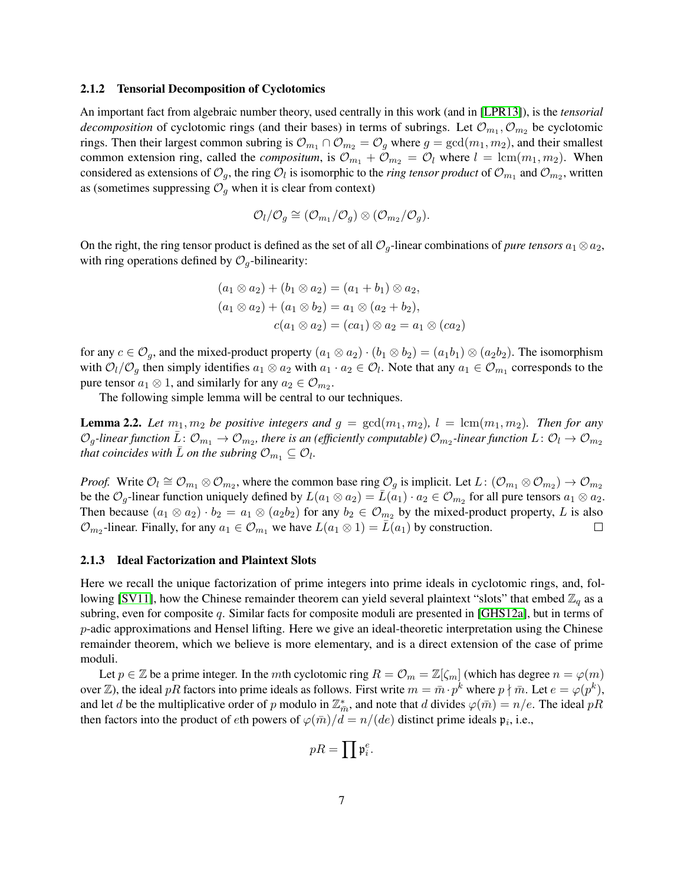#### 2.1.2 Tensorial Decomposition of Cyclotomics

An important fact from algebraic number theory, used centrally in this work (and in [\[LPR13\]](#page-23-13)), is the *tensorial decomposition* of cyclotomic rings (and their bases) in terms of subrings. Let  $\mathcal{O}_{m_1}, \mathcal{O}_{m_2}$  be cyclotomic rings. Then their largest common subring is  $\mathcal{O}_{m_1} \cap \mathcal{O}_{m_2} = \mathcal{O}_q$  where  $g = \gcd(m_1, m_2)$ , and their smallest common extension ring, called the *compositum*, is  $\mathcal{O}_{m_1} + \mathcal{O}_{m_2} = \mathcal{O}_l$  where  $l = \text{lcm}(m_1, m_2)$ . When considered as extensions of  $\mathcal{O}_g$ , the ring  $\mathcal{O}_l$  is isomorphic to the *ring tensor product* of  $\mathcal{O}_{m_1}$  and  $\mathcal{O}_{m_2}$ , written as (sometimes suppressing  $\mathcal{O}_g$  when it is clear from context)

$$
\mathcal{O}_l/\mathcal{O}_g \cong (\mathcal{O}_{m_1}/\mathcal{O}_g) \otimes (\mathcal{O}_{m_2}/\mathcal{O}_g).
$$

On the right, the ring tensor product is defined as the set of all  $\mathcal{O}_q$ -linear combinations of *pure tensors*  $a_1 \otimes a_2$ , with ring operations defined by  $\mathcal{O}_q$ -bilinearity:

$$
(a_1 \otimes a_2) + (b_1 \otimes a_2) = (a_1 + b_1) \otimes a_2,
$$
  
\n
$$
(a_1 \otimes a_2) + (a_1 \otimes b_2) = a_1 \otimes (a_2 + b_2),
$$
  
\n
$$
c(a_1 \otimes a_2) = (ca_1) \otimes a_2 = a_1 \otimes (ca_2)
$$

for any  $c \in \mathcal{O}_q$ , and the mixed-product property  $(a_1 \otimes a_2) \cdot (b_1 \otimes b_2) = (a_1b_1) \otimes (a_2b_2)$ . The isomorphism with  $\mathcal{O}_l/\mathcal{O}_g$  then simply identifies  $a_1 \otimes a_2$  with  $a_1 \cdot a_2 \in \mathcal{O}_l$ . Note that any  $a_1 \in \mathcal{O}_{m_1}$  corresponds to the pure tensor  $a_1 \otimes 1$ , and similarly for any  $a_2 \in \mathcal{O}_{m_2}$ .

The following simple lemma will be central to our techniques.

<span id="page-7-0"></span>**Lemma 2.2.** Let  $m_1, m_2$  be positive integers and  $g = \gcd(m_1, m_2)$ ,  $l = \text{lcm}(m_1, m_2)$ . Then for any  $\mathcal{O}_g$ -linear function  $\bar{L}\colon\mathcal{O}_{m_1}\to\mathcal{O}_{m_2}$ , there is an (efficiently computable)  $\mathcal{O}_{m_2}$ -linear function  $L\colon\mathcal{O}_l\to\mathcal{O}_{m_2}$ *that coincides with*  $\overline{L}$  *on the subring*  $\mathcal{O}_{m_1} \subseteq \mathcal{O}_l$ *.* 

*Proof.* Write  $\mathcal{O}_l \cong \mathcal{O}_{m_1} \otimes \mathcal{O}_{m_2}$ , where the common base ring  $\mathcal{O}_g$  is implicit. Let  $L: (\mathcal{O}_{m_1} \otimes \mathcal{O}_{m_2}) \to \mathcal{O}_{m_2}$ be the  $\mathcal{O}_g$ -linear function uniquely defined by  $L(a_1 \otimes a_2) = \overline{L}(a_1) \cdot a_2 \in \mathcal{O}_{m_2}$  for all pure tensors  $a_1 \otimes a_2$ . Then because  $(a_1 \otimes a_2) \cdot b_2 = a_1 \otimes (a_2 b_2)$  for any  $b_2 \in \mathcal{O}_{m_2}$  by the mixed-product property, L is also  $\mathcal{O}_{m_2}$ -linear. Finally, for any  $a_1 \in \mathcal{O}_{m_1}$  we have  $L(a_1 \otimes 1) = \overline{L}(a_1)$  by construction.  $\Box$ 

#### <span id="page-7-1"></span>2.1.3 Ideal Factorization and Plaintext Slots

Here we recall the unique factorization of prime integers into prime ideals in cyclotomic rings, and, fol-lowing [\[SV11\]](#page-23-9), how the Chinese remainder theorem can yield several plaintext "slots" that embed  $\mathbb{Z}_q$  as a subring, even for composite q. Similar facts for composite moduli are presented in [\[GHS12a\]](#page-23-7), but in terms of p-adic approximations and Hensel lifting. Here we give an ideal-theoretic interpretation using the Chinese remainder theorem, which we believe is more elementary, and is a direct extension of the case of prime moduli.

Let  $p \in \mathbb{Z}$  be a prime integer. In the mth cyclotomic ring  $R = \mathcal{O}_m = \mathbb{Z}[\zeta_m]$  (which has degree  $n = \varphi(m)$ ) over Z), the ideal  $pR$  factors into prime ideals as follows. First write  $m = \bar{m} \cdot p^k$  where  $p \nmid \bar{m}$ . Let  $e = \varphi(p^k)$ , and let d be the multiplicative order of p modulo in  $\mathbb{Z}_{\bar{m}}^*$ , and note that d divides  $\varphi(\bar{m}) = n/e$ . The ideal pR then factors into the product of  $e$ th powers of  $\varphi(\bar{m})/d = n/(de)$  distinct prime ideals  $\mathfrak{p}_i$ , i.e.,

$$
pR=\prod \mathfrak{p}_{i}^{e}
$$

.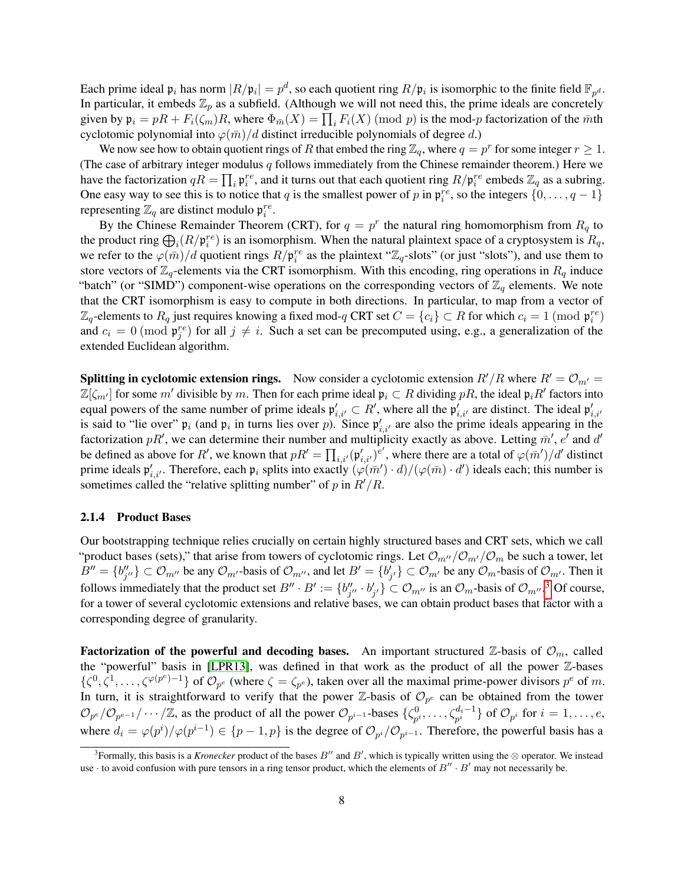Each prime ideal  $\mathfrak{p}_i$  has norm  $|R/\mathfrak{p}_i| = p^d$ , so each quotient ring  $R/\mathfrak{p}_i$  is isomorphic to the finite field  $\mathbb{F}_{p^d}$ . In particular, it embeds  $\mathbb{Z}_p$  as a subfield. (Although we will not need this, the prime ideals are concretely given by  $\mathfrak{p}_i = pR + F_i(\zeta_m)R$ , where  $\Phi_{\bar{m}}(X) = \prod_i F_i(X) \pmod{p}$  is the mod-p factorization of the  $\bar{m}$ th cyclotomic polynomial into  $\varphi(\bar{m})/d$  distinct irreducible polynomials of degree d.)

We now see how to obtain quotient rings of R that embed the ring  $\mathbb{Z}_q$ , where  $q = p^r$  for some integer  $r \geq 1$ . (The case of arbitrary integer modulus  $q$  follows immediately from the Chinese remainder theorem.) Here we have the factorization  $qR = \prod_i \mathfrak{p}_i^{re}$ , and it turns out that each quotient ring  $R/\mathfrak{p}_i^{re}$  embeds  $\mathbb{Z}_q$  as a subring. One easy way to see this is to notice that q is the smallest power of p in  $\mathfrak{p}_i^{re}$ , so the integers  $\{0, \ldots, q-1\}$ representing  $\mathbb{Z}_q$  are distinct modulo  $\mathfrak{p}_i^{re}$ .

By the Chinese Remainder Theorem (CRT), for  $q = p^r$  the natural ring homomorphism from  $R_q$  to the product ring  $\bigoplus_i (R/\mathfrak{p}_i^{re})$  is an isomorphism. When the natural plaintext space of a cryptosystem is  $R_q$ , we refer to the  $\varphi(\bar{m})/d$  quotient rings  $R/\mathfrak{p}_i^{re}$  as the plaintext " $\mathbb{Z}_q$ -slots" (or just "slots"), and use them to store vectors of  $\mathbb{Z}_q$ -elements via the CRT isomorphism. With this encoding, ring operations in  $R_q$  induce "batch" (or "SIMD") component-wise operations on the corresponding vectors of  $\mathbb{Z}_q$  elements. We note that the CRT isomorphism is easy to compute in both directions. In particular, to map from a vector of  $\mathbb{Z}_q$ -elements to  $R_q$  just requires knowing a fixed mod- $q$  CRT set  $C = \{c_i\} \subset R$  for which  $c_i = 1 \pmod{\mathfrak{p}_i^{re}}$ and  $c_i = 0 \pmod{\mathfrak{p}_j^{re}}$  for all  $j \neq i$ . Such a set can be precomputed using, e.g., a generalization of the extended Euclidean algorithm.

**Splitting in cyclotomic extension rings.** Now consider a cyclotomic extension  $R'/R$  where  $R' = \mathcal{O}_{m'} =$  $\mathbb{Z}[\zeta_{m'}]$  for some  $m'$  divisible by m. Then for each prime ideal  $\mathfrak{p}_i \subset R$  dividing  $pR$ , the ideal  $\mathfrak{p}_iR'$  factors into equal powers of the same number of prime ideals  $\mathfrak{p}'_{i,i'} \subset R'$ , where all the  $\mathfrak{p}'_{i,i'}$  are distinct. The ideal  $\mathfrak{p}'_{i,i'}$ is said to "lie over"  $\mathfrak{p}_i$  (and  $\mathfrak{p}_i$  in turns lies over p). Since  $\mathfrak{p}'_{i,i'}$  are also the prime ideals appearing in the factorization  $pR'$ , we can determine their number and multiplicity exactly as above. Letting  $\bar{m}'$ , e' and d' be defined as above for R', we known that  $pR' = \prod_{i,i'} (\mathfrak{p}'_{i,i'})^{e'}$ , where there are a total of  $\varphi(\bar{m}')/d'$  distinct prime ideals  $\mathfrak{p}'_{i,i'}$ . Therefore, each  $\mathfrak{p}_i$  splits into exactly  $(\varphi(\bar{m}') \cdot d)/(\varphi(\bar{m}) \cdot d')$  ideals each; this number is sometimes called the "relative splitting number" of p in  $R'/R$ .

#### <span id="page-8-0"></span>2.1.4 Product Bases

Our bootstrapping technique relies crucially on certain highly structured bases and CRT sets, which we call "product bases (sets)," that arise from towers of cyclotomic rings. Let  $\mathcal{O}_{m''}/\mathcal{O}_{m'}/\mathcal{O}_m$  be such a tower, let  $B'' = \{b''_{j''}\}\subset \mathcal{O}_{m''}$  be any  $\mathcal{O}_{m'}$ -basis of  $\mathcal{O}_{m''}$ , and let  $B' = \{b'_{j'}\}\subset \mathcal{O}_{m'}$  be any  $\mathcal{O}_m$ -basis of  $\mathcal{O}_{m'}$ . Then it follows immediately that the product set  $B'' \cdot B' := \{b''_{j''} \cdot b'_{j'}\} \subset \mathcal{O}_{m''}$  is an  $\mathcal{O}_m$ -basis of  $\mathcal{O}_{m''}$ .<sup>[3](#page-8-1)</sup> Of course, for a tower of several cyclotomic extensions and relative bases, we can obtain product bases that factor with a corresponding degree of granularity.

**Factorization of the powerful and decoding bases.** An important structured  $\mathbb{Z}$ -basis of  $\mathcal{O}_m$ , called the "powerful" basis in [\[LPR13\]](#page-23-13), was defined in that work as the product of all the power Z-bases  $\{\zeta^0, \zeta^1, \ldots, \zeta^{\varphi(p^e)-1}\}$  of  $\mathcal{O}_{p^e}$  (where  $\zeta = \zeta_{p^e}$ ), taken over all the maximal prime-power divisors  $p^e$  of m. In turn, it is straightforward to verify that the power  $\mathbb{Z}$ -basis of  $\mathcal{O}_{p^e}$  can be obtained from the tower  $\mathcal{O}_{p^e}/\mathcal{O}_{p^{e-1}}/\cdots/\mathbb{Z}$ , as the product of all the power  $\mathcal{O}_{p^{i-1}}$ -bases  $\{\zeta_{p^i}^0,\ldots,\zeta_{p^i}^{d_i-1}\}$  of  $\mathcal{O}_{p^i}$  for  $i=1,\ldots,e$ , where  $d_i = \varphi(p^i) / \varphi(p^{i-1}) \in \{p-1, p\}$  is the degree of  $\mathcal{O}_{p^i} / \mathcal{O}_{p^{i-1}}$ . Therefore, the powerful basis has a

<span id="page-8-1"></span> $3$  Formally, this basis is a *Kronecker* product of the bases  $B''$  and  $B'$ , which is typically written using the ⊗ operator. We instead use  $\cdot$  to avoid confusion with pure tensors in a ring tensor product, which the elements of  $B'' \cdot B'$  may not necessarily be.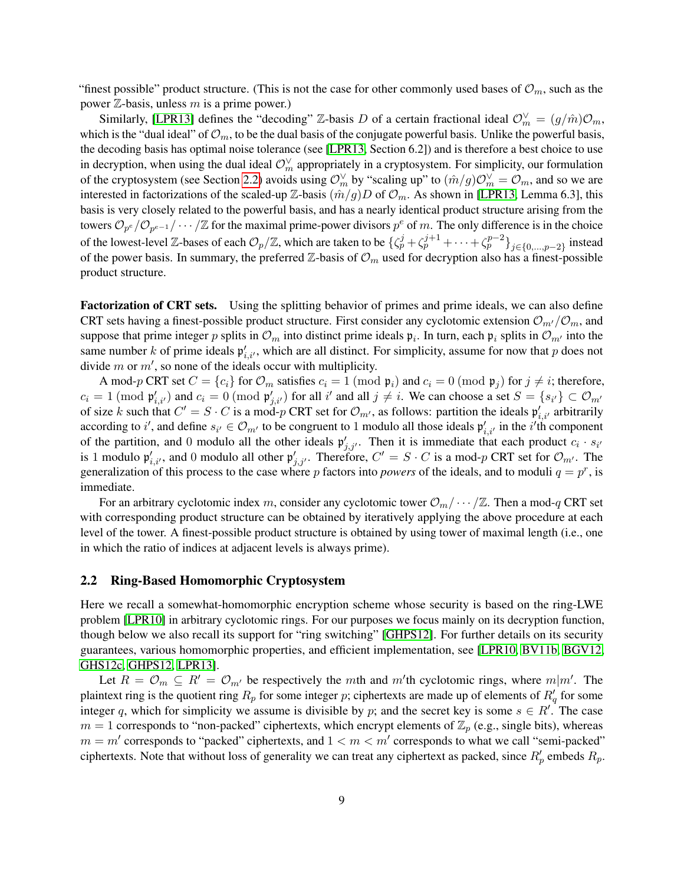"finest possible" product structure. (This is not the case for other commonly used bases of  $\mathcal{O}_m$ , such as the power  $\mathbb Z$ -basis, unless m is a prime power.)

Similarly, [\[LPR13\]](#page-23-13) defines the "decoding" Z-basis D of a certain fractional ideal  $\mathcal{O}_m^{\vee} = (g/\hat{m})\mathcal{O}_m$ , which is the "dual ideal" of  $\mathcal{O}_m$ , to be the dual basis of the conjugate powerful basis. Unlike the powerful basis, the decoding basis has optimal noise tolerance (see [\[LPR13,](#page-23-13) Section 6.2]) and is therefore a best choice to use in decryption, when using the dual ideal  $\mathcal{O}_m^{\vee}$  appropriately in a cryptosystem. For simplicity, our formulation of the cryptosystem (see Section [2.2\)](#page-9-0) avoids using  $\mathcal{O}_m^{\vee}$  by "scaling up" to  $(\hat{m}/g)\mathcal{O}_m^{\vee}=\mathcal{O}_m$ , and so we are interested in factorizations of the scaled-up Z-basis  $(\hat{m}/g)D$  of  $\mathcal{O}_m$ . As shown in [\[LPR13,](#page-23-13) Lemma 6.3], this basis is very closely related to the powerful basis, and has a nearly identical product structure arising from the towers  $\mathcal{O}_{p^e}/\mathcal{O}_{p^{e-1}}/\cdots/\mathbb{Z}$  for the maximal prime-power divisors  $p^e$  of m. The only difference is in the choice of the lowest-level Z-bases of each  $\mathcal{O}_p/\mathbb{Z}$ , which are taken to be  $\{\zeta_p^j + \zeta_p^{j+1} + \cdots + \zeta_p^{p-2}\}_{j \in \{0,\ldots,p-2\}}$  instead of the power basis. In summary, the preferred  $\mathbb{Z}$ -basis of  $\mathcal{O}_m$  used for decryption also has a finest-possible product structure.

Factorization of CRT sets. Using the splitting behavior of primes and prime ideals, we can also define CRT sets having a finest-possible product structure. First consider any cyclotomic extension  $\mathcal{O}_{m'}/\mathcal{O}_m$ , and suppose that prime integer p splits in  $\mathcal{O}_m$  into distinct prime ideals  $\mathfrak{p}_i$ . In turn, each  $\mathfrak{p}_i$  splits in  $\mathcal{O}_{m'}$  into the same number k of prime ideals  $\mathfrak{p}'_{i,i'}$ , which are all distinct. For simplicity, assume for now that p does not divide m or  $m'$ , so none of the ideals occur with multiplicity.

A mod-p CRT set  $C = \{c_i\}$  for  $\mathcal{O}_m$  satisfies  $c_i = 1 \pmod{\mathfrak{p}_i}$  and  $c_i = 0 \pmod{\mathfrak{p}_i}$  for  $j \neq i$ ; therefore,  $c_i = 1 \pmod{\mathfrak{p}_{i,i'}'}$  and  $c_i = 0 \pmod{\mathfrak{p}_{j,i'}'}$  for all  $i'$  and all  $j \neq i$ . We can choose a set  $S = \{s_{i'}\} \subset \mathcal{O}_{m'}$ of size k such that  $C' = S \cdot C$  is a mod-p CRT set for  $\mathcal{O}_{m'}$ , as follows: partition the ideals  $\mathfrak{p}'_{i,i'}$  arbitrarily according to i', and define  $s_{i'} \in \mathcal{O}_{m'}$  to be congruent to 1 modulo all those ideals  $\mathfrak{p}'_{i,i'}$  in the i'll component of the partition, and 0 modulo all the other ideals  $\mathfrak{p}'_{j,j'}$ . Then it is immediate that each product  $c_i \cdot s_{i'}$ is 1 modulo  $\mathfrak{p}'_{i,i'}$ , and 0 modulo all other  $\mathfrak{p}'_{j,j'}$ . Therefore,  $C' = S \cdot C$  is a mod-p CRT set for  $\mathcal{O}_{m'}$ . The generalization of this process to the case where p factors into *powers* of the ideals, and to moduli  $q = p^r$ , is immediate.

For an arbitrary cyclotomic index m, consider any cyclotomic tower  $\mathcal{O}_m/\cdots/\mathbb{Z}$ . Then a mod-q CRT set with corresponding product structure can be obtained by iteratively applying the above procedure at each level of the tower. A finest-possible product structure is obtained by using tower of maximal length (i.e., one in which the ratio of indices at adjacent levels is always prime).

#### <span id="page-9-0"></span>2.2 Ring-Based Homomorphic Cryptosystem

Here we recall a somewhat-homomorphic encryption scheme whose security is based on the ring-LWE problem [\[LPR10\]](#page-23-12) in arbitrary cyclotomic rings. For our purposes we focus mainly on its decryption function, though below we also recall its support for "ring switching" [\[GHPS12\]](#page-23-11). For further details on its security guarantees, various homomorphic properties, and efficient implementation, see [\[LPR10,](#page-23-12) [BV11b,](#page-23-14) [BGV12,](#page-23-2) [GHS12c,](#page-23-15) [GHPS12,](#page-23-11) [LPR13\]](#page-23-13).

Let  $R = \mathcal{O}_m \subseteq R' = \mathcal{O}_{m'}$  be respectively the mth and m'th cyclotomic rings, where  $m|m'$ . The plaintext ring is the quotient ring  $R_p$  for some integer p; ciphertexts are made up of elements of  $R_q'$  for some integer q, which for simplicity we assume is divisible by p; and the secret key is some  $s \in R'$ . The case  $m = 1$  corresponds to "non-packed" ciphertexts, which encrypt elements of  $\mathbb{Z}_p$  (e.g., single bits), whereas  $m = m'$  corresponds to "packed" ciphertexts, and  $1 < m < m'$  corresponds to what we call "semi-packed" ciphertexts. Note that without loss of generality we can treat any ciphertext as packed, since  $R_p'$  embeds  $R_p$ .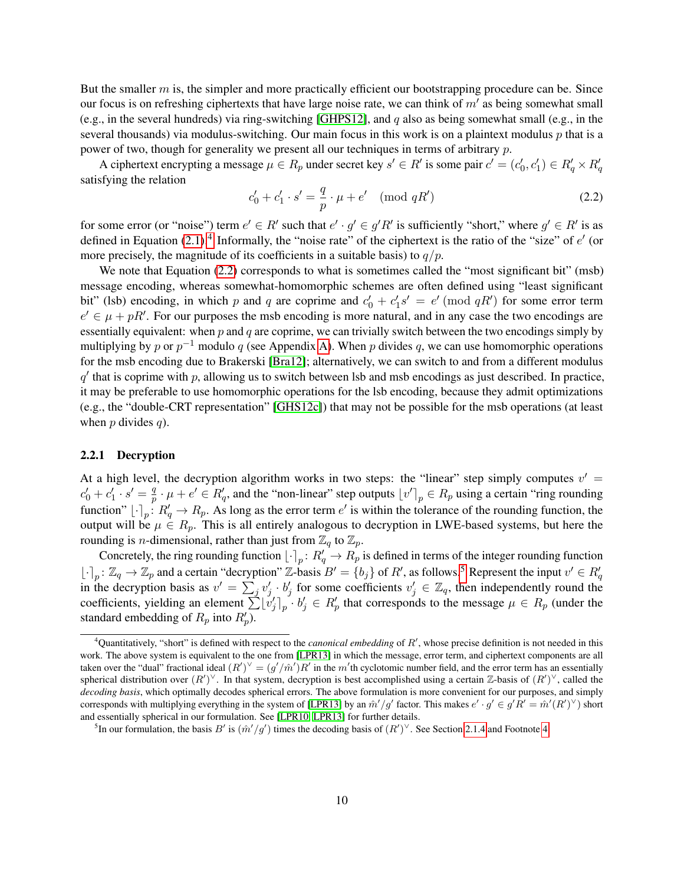But the smaller  $m$  is, the simpler and more practically efficient our bootstrapping procedure can be. Since our focus is on refreshing ciphertexts that have large noise rate, we can think of  $m'$  as being somewhat small (e.g., in the several hundreds) via ring-switching [\[GHPS12\]](#page-23-11), and q also as being somewhat small (e.g., in the several thousands) via modulus-switching. Our main focus in this work is on a plaintext modulus  $p$  that is a power of two, though for generality we present all our techniques in terms of arbitrary  $p$ .

A ciphertext encrypting a message  $\mu \in R_p$  under secret key  $s' \in R'$  is some pair  $c' = (c'_0, c'_1) \in R'_q \times R'_q$ satisfying the relation

<span id="page-10-1"></span>
$$
c'_0 + c'_1 \cdot s' = \frac{q}{p} \cdot \mu + e' \pmod{qR'}
$$
 (2.2)

for some error (or "noise") term  $e' \in R'$  such that  $e' \cdot g' \in g'R'$  is sufficiently "short," where  $g' \in R'$  is as defined in Equation [\(2.1\)](#page-6-0).<sup>[4](#page-10-0)</sup> Informally, the "noise rate" of the ciphertext is the ratio of the "size" of  $e'$  (or more precisely, the magnitude of its coefficients in a suitable basis) to  $q/p$ .

We note that Equation [\(2.2\)](#page-10-1) corresponds to what is sometimes called the "most significant bit" (msb) message encoding, whereas somewhat-homomorphic schemes are often defined using "least significant bit" (lsb) encoding, in which p and q are coprime and  $c'_0 + c'_1 s' = e' \pmod{qR'}$  for some error term  $e' \in \mu + pR'$ . For our purposes the msb encoding is more natural, and in any case the two encodings are essentially equivalent: when  $p$  and  $q$  are coprime, we can trivially switch between the two encodings simply by multiplying by p or  $p^{-1}$  modulo q (see Appendix [A\)](#page-24-2). When p divides q, we can use homomorphic operations for the msb encoding due to Brakerski [\[Bra12\]](#page-23-16); alternatively, we can switch to and from a different modulus  $q'$  that is coprime with p, allowing us to switch between lsb and msb encodings as just described. In practice, it may be preferable to use homomorphic operations for the lsb encoding, because they admit optimizations (e.g., the "double-CRT representation" [\[GHS12c\]](#page-23-15)) that may not be possible for the msb operations (at least when  $p$  divides  $q$ ).

#### <span id="page-10-3"></span>2.2.1 Decryption

At a high level, the decryption algorithm works in two steps: the "linear" step simply computes  $v' =$  $c'_0 + c'_1 \cdot s' = \frac{q}{p}$  $\frac{q}{p} \cdot \mu + e' \in R'_q$ , and the "non-linear" step outputs  $\lfloor v' \rfloor_p \in R_p$  using a certain "ring rounding function"  $\lfloor \cdot \rceil_p : R'_q \to R_p$ . As long as the error term e' is within the tolerance of the rounding function, the output will be  $\mu \in R_p$ . This is all entirely analogous to decryption in LWE-based systems, but here the rounding is *n*-dimensional, rather than just from  $\mathbb{Z}_q$  to  $\mathbb{Z}_p$ .

Concretely, the ring rounding function  $\lfloor \cdot \rceil_p : R'_q \to R_p$  is defined in terms of the integer rounding function  $\lfloor \cdot \rceil_p : \mathbb{Z}_q \to \mathbb{Z}_p$  and a certain "decryption"  $\mathbb{Z}$ -basis  $B' = \{b_j\}$  of  $R'$ , as follows.<sup>[5](#page-10-2)</sup> Represent the input  $v' \in R'_q$ in the decryption basis as  $v' = \sum_j v'_j \cdot b'_j$  for some coefficients  $v'_j \in \mathbb{Z}_q$ , then independently round the coefficients, yielding an element  $\sum_{i=1}^{n} v'_j \big|_p^p \cdot b'_j \in R_p'$  that corresponds to the message  $\mu \in R_p$  (under the standard embedding of  $R_p$  into  $R_p'$ ).

<span id="page-10-0"></span> ${}^4$ Quantitatively, "short" is defined with respect to the *canonical embedding* of  $R'$ , whose precise definition is not needed in this work. The above system is equivalent to the one from [\[LPR13\]](#page-23-13) in which the message, error term, and ciphertext components are all taken over the "dual" fractional ideal  $(R')^{\vee} = (g'/m')R'$  in the m'th cyclotomic number field, and the error term has an essentially spherical distribution over  $(R')^{\vee}$ . In that system, decryption is best accomplished using a certain Z-basis of  $(R')^{\vee}$ , called the *decoding basis*, which optimally decodes spherical errors. The above formulation is more convenient for our purposes, and simply corresponds with multiplying everything in the system of [\[LPR13\]](#page-23-13) by an  $\hat{m}'/g'$  factor. This makes  $e' \cdot g' \in g'R' = \hat{m}'(R')^{\vee}$  short and essentially spherical in our formulation. See [\[LPR10,](#page-23-12) [LPR13\]](#page-23-13) for further details.

<span id="page-10-2"></span><sup>&</sup>lt;sup>5</sup>In our formulation, the basis B' is  $(\hat{m}'/g')$  times the decoding basis of  $(R')^{\vee}$ . See Section [2.1.4](#page-8-0) and Footnote [4.](#page-10-0)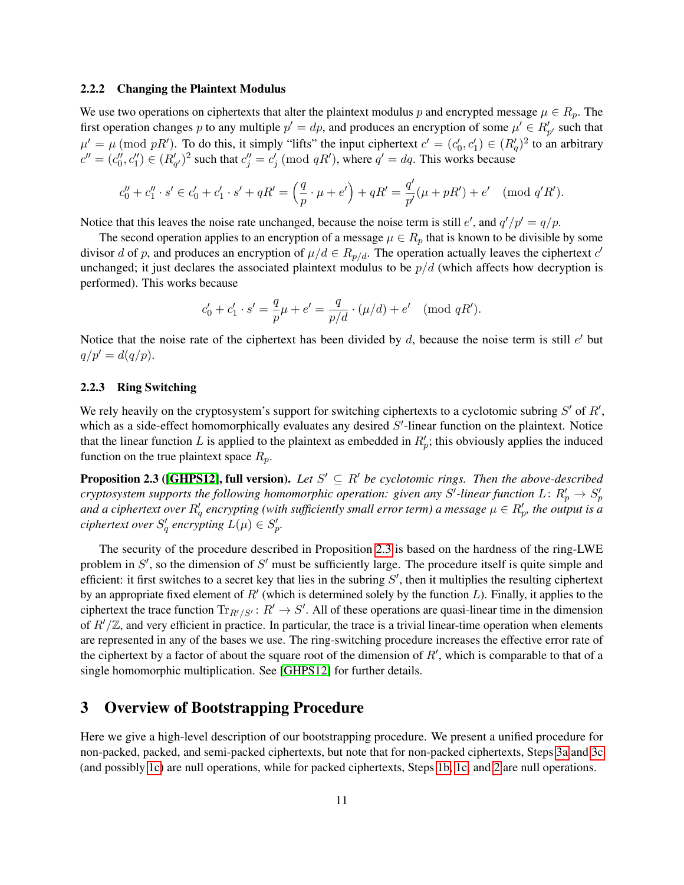#### <span id="page-11-2"></span>2.2.2 Changing the Plaintext Modulus

We use two operations on ciphertexts that alter the plaintext modulus p and encrypted message  $\mu \in R_p$ . The first operation changes p to any multiple  $p' = dp$ , and produces an encryption of some  $\mu' \in R'_{p'}$  such that  $\mu' = \mu \pmod{pR'}$ . To do this, it simply "lifts" the input ciphertext  $c' = (c'_0, c'_1) \in (R'_q)^2$  to an arbitrary  $c'' = (c''_0, c''_1) \in (R'_{q'})^2$  such that  $c''_j = c'_j \pmod{qR'}$ , where  $q' = dq$ . This works because

$$
c''_0 + c''_1 \cdot s' \in c'_0 + c'_1 \cdot s' + qR' = \left(\frac{q}{p} \cdot \mu + e'\right) + qR' = \frac{q'}{p'}(\mu + pR') + e' \pmod{q'R'}.
$$

Notice that this leaves the noise rate unchanged, because the noise term is still e', and  $q'/p' = q/p$ .

The second operation applies to an encryption of a message  $\mu \in R_p$  that is known to be divisible by some divisor d of p, and produces an encryption of  $\mu/d \in R_{p/d}$ . The operation actually leaves the ciphertext c' unchanged; it just declares the associated plaintext modulus to be  $p/d$  (which affects how decryption is performed). This works because

$$
c'_0 + c'_1 \cdot s' = \frac{q}{p}\mu + e' = \frac{q}{p/d} \cdot (\mu/d) + e' \pmod{qR'}.
$$

Notice that the noise rate of the ciphertext has been divided by  $d$ , because the noise term is still  $e'$  but  $q/p' = d(q/p).$ 

#### 2.2.3 Ring Switching

We rely heavily on the cryptosystem's support for switching ciphertexts to a cyclotomic subring  $S'$  of  $R'$ , which as a side-effect homomorphically evaluates any desired  $S'$ -linear function on the plaintext. Notice that the linear function L is applied to the plaintext as embedded in  $R_p'$ ; this obviously applies the induced function on the true plaintext space  $R_p$ .

<span id="page-11-1"></span>**Proposition 2.3 ([\[GHPS12\]](#page-23-11), full version).** Let  $S' \subseteq R'$  be cyclotomic rings. Then the above-described *cryptosystem supports the following homomorphic operation: given any S'-linear function*  $L\colon R'_p\to S'_p$ and a ciphertext over  $R'_q$  encrypting (with sufficiently small error term) a message  $\mu\in R'_p$ , the output is a *ciphertext over*  $S'_q$  *encrypting*  $L(\mu) \in S'_p$ *.* 

The security of the procedure described in Proposition [2.3](#page-11-1) is based on the hardness of the ring-LWE problem in  $S'$ , so the dimension of  $S'$  must be sufficiently large. The procedure itself is quite simple and efficient: it first switches to a secret key that lies in the subring  $S'$ , then it multiplies the resulting ciphertext by an appropriate fixed element of  $R'$  (which is determined solely by the function  $L$ ). Finally, it applies to the ciphertext the trace function  $\text{Tr}_{R'/S'}: R' \to S'$ . All of these operations are quasi-linear time in the dimension of  $R'/\mathbb{Z}$ , and very efficient in practice. In particular, the trace is a trivial linear-time operation when elements are represented in any of the bases we use. The ring-switching procedure increases the effective error rate of the ciphertext by a factor of about the square root of the dimension of  $R'$ , which is comparable to that of a single homomorphic multiplication. See [\[GHPS12\]](#page-23-11) for further details.

### <span id="page-11-0"></span>3 Overview of Bootstrapping Procedure

Here we give a high-level description of our bootstrapping procedure. We present a unified procedure for non-packed, packed, and semi-packed ciphertexts, but note that for non-packed ciphertexts, Steps [3a](#page-13-0) and [3c](#page-13-1) (and possibly [1c\)](#page-12-0) are null operations, while for packed ciphertexts, Steps [1b,](#page-12-1) [1c,](#page-12-0) and [2](#page-13-2) are null operations.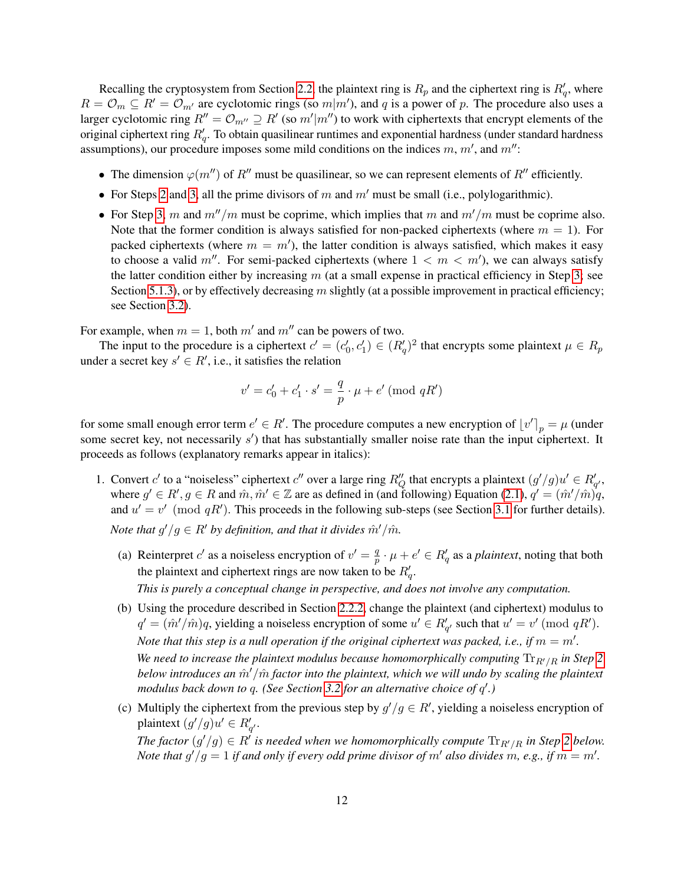Recalling the cryptosystem from Section [2.2,](#page-9-0) the plaintext ring is  $R_p$  and the ciphertext ring is  $R_q^{\prime}$ , where  $R = \mathcal{O}_m \subseteq R' = \mathcal{O}_{m'}$  are cyclotomic rings (so  $m|m'$ ), and q is a power of p. The procedure also uses a larger cyclotomic ring  $R'' = \mathcal{O}_{m''} \supseteq R'$  (so  $m'|m''$ ) to work with ciphertexts that encrypt elements of the original ciphertext ring  $R_q'$ . To obtain quasilinear runtimes and exponential hardness (under standard hardness assumptions), our procedure imposes some mild conditions on the indices  $m, m'$ , and  $m''$ :

- The dimension  $\varphi(m'')$  of R'' must be quasilinear, so we can represent elements of R'' efficiently.
- For Steps [2](#page-13-2) and [3,](#page-13-3) all the prime divisors of m and  $m'$  must be small (i.e., polylogarithmic).
- For Step [3,](#page-13-3) m and  $m''/m$  must be coprime, which implies that m and  $m'/m$  must be coprime also. Note that the former condition is always satisfied for non-packed ciphertexts (where  $m = 1$ ). For packed ciphertexts (where  $m = m'$ ), the latter condition is always satisfied, which makes it easy to choose a valid m''. For semi-packed ciphertexts (where  $1 < m < m'$ ), we can always satisfy the latter condition either by increasing  $m$  (at a small expense in practical efficiency in Step [3;](#page-13-3) see Section [5.1.3\)](#page-20-0), or by effectively decreasing m slightly (at a possible improvement in practical efficiency; see Section [3.2\)](#page-14-0).

For example, when  $m = 1$ , both  $m'$  and  $m''$  can be powers of two.

The input to the procedure is a ciphertext  $c' = (c'_0, c'_1) \in (R'_q)^2$  that encrypts some plaintext  $\mu \in R_p$ under a secret key  $s' \in R'$ , i.e., it satisfies the relation

$$
v' = c'_0 + c'_1 \cdot s' = \frac{q}{p} \cdot \mu + e' \pmod{qR'}
$$

for some small enough error term  $e' \in R'$ . The procedure computes a new encryption of  $\lfloor v' \rfloor_p = \mu$  (under some secret key, not necessarily  $s'$ ) that has substantially smaller noise rate than the input ciphertext. It proceeds as follows (explanatory remarks appear in italics):

- <span id="page-12-2"></span>1. Convert c' to a "noiseless" ciphertext c'' over a large ring  $R''_Q$  that encrypts a plaintext  $(g'/g)u' \in R'_{q'}$ , where  $g' \in R', g \in R$  and  $\hat{m}, \hat{m}' \in \mathbb{Z}$  are as defined in (and following) Equation [\(2.1\)](#page-6-0),  $q' = (\hat{m}'/\hat{m})q$ , and  $u' = v' \pmod{qR'}$ . This proceeds in the following sub-steps (see Section [3.1](#page-13-4) for further details). *Note that*  $g'/g \in R'$  *by definition, and that it divides*  $\hat{m}'/\hat{m}$ *.* 
	- (a) Reinterpret c' as a noiseless encryption of  $v' = \frac{q}{n}$  $\frac{q}{p} \cdot \mu + e' \in R'_q$  as a *plaintext*, noting that both the plaintext and ciphertext rings are now taken to be  $R'_q$ .

*This is purely a conceptual change in perspective, and does not involve any computation.*

- <span id="page-12-1"></span>(b) Using the procedure described in Section [2.2.2,](#page-11-2) change the plaintext (and ciphertext) modulus to  $q' = (\hat{m}'/\hat{m})q$ , yielding a noiseless encryption of some  $u' \in R'_{q'}$  such that  $u' = v'$  (mod  $qR'$ ). *Note that this step is a null operation if the original ciphertext was packed, i.e., if*  $m = m'$ *. We need to increase the plaintext modulus because homomorphically computing*  $Tr_{R'/R}$  *in Step* [2](#page-13-2) *below introduces an*  $\hat{m}'/\hat{m}$  *factor into the plaintext, which we will undo by scaling the plaintext modulus back down to* q*. (See Section [3.2](#page-14-0) for an alternative choice of* q 0 *.)*
- <span id="page-12-0"></span>(c) Multiply the ciphertext from the previous step by  $g'/g \in R'$ , yielding a noiseless encryption of plaintext  $(g'/g)u' \in R'_{q'}$ . *The factor*  $(g'/g) \in R'$  is needed when we homomorphically compute  $\text{Tr}_{R'/R}$  in Step [2](#page-13-2) below.

*Note that*  $g'/g = 1$  *if and only if every odd prime divisor of*  $m'$  *also divides*  $m$ *, e.g., if*  $m = m'$ *.*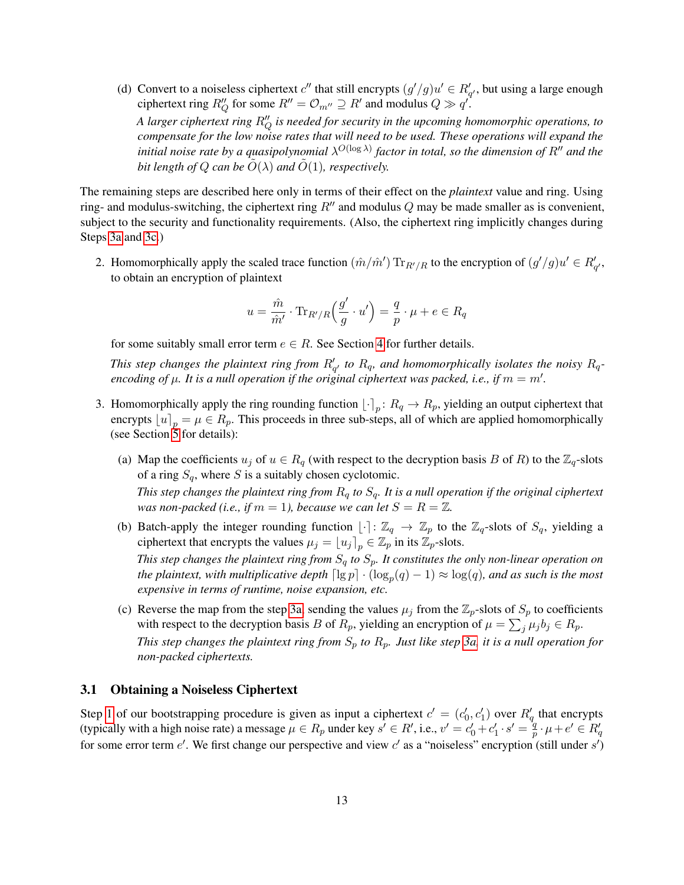(d) Convert to a noiseless ciphertext c'' that still encrypts  $(g'/g)u' \in R'_{q'}$ , but using a large enough ciphertext ring  $R''_Q$  for some  $R'' = \mathcal{O}_{m''} \supseteq R'$  and modulus  $Q \gg q'^2$ . A larger ciphertext ring  $R''_Q$  is needed for security in the upcoming homomorphic operations, to *compensate for the low noise rates that will need to be used. These operations will expand the initial noise rate by a quasipolynomial*  $\lambda^{O(\log \lambda)}$  factor in total, so the dimension of  $R''$  and the *bit length of Q can be*  $\tilde{O}(\lambda)$  *and*  $\tilde{O}(1)$ *, respectively.* 

The remaining steps are described here only in terms of their effect on the *plaintext* value and ring. Using ring- and modulus-switching, the ciphertext ring  $R''$  and modulus  $Q$  may be made smaller as is convenient, subject to the security and functionality requirements. (Also, the ciphertext ring implicitly changes during Steps [3a](#page-13-0) and [3c.](#page-13-1))

<span id="page-13-2"></span>2. Homomorphically apply the scaled trace function  $(\hat{m}/\hat{m}') \text{Tr}_{R'/R}$  to the encryption of  $(g'/g)u' \in R'_{q'}$ , to obtain an encryption of plaintext

$$
u = \frac{\hat{m}}{\hat{m}'} \cdot \text{Tr}_{R'/R}\left(\frac{g'}{g} \cdot u'\right) = \frac{q}{p} \cdot \mu + e \in R_q
$$

for some suitably small error term  $e \in R$ . See Section [4](#page-15-0) for further details.

*This step changes the plaintext ring from*  $R'_{q'}$  to  $R_q$ , and homomorphically isolates the noisy  $R_q$ *encoding of*  $\mu$ *. It is a null operation if the original ciphertext was packed, i.e., if*  $m = m'$ *.* 

- <span id="page-13-3"></span><span id="page-13-0"></span>3. Homomorphically apply the ring rounding function  $\lfloor \cdot \rceil_p : R_q \to R_p$ , yielding an output ciphertext that encrypts  $[u]_p = \mu \in R_p$ . This proceeds in three sub-steps, all of which are applied homomorphically (see Section [5](#page-18-0) for details):
	- (a) Map the coefficients  $u_j$  of  $u \in R_q$  (with respect to the decryption basis B of R) to the  $\mathbb{Z}_q$ -slots of a ring  $S_q$ , where S is a suitably chosen cyclotomic.

*This step changes the plaintext ring from* R<sup>q</sup> *to* Sq*. It is a null operation if the original ciphertext was non-packed (i.e., if*  $m = 1$ ), *because we can let*  $S = R = \mathbb{Z}$ *.* 

- (b) Batch-apply the integer rounding function  $[\cdot]: \mathbb{Z}_q \to \mathbb{Z}_p$  to the  $\mathbb{Z}_q$ -slots of  $S_q$ , yielding a ciphertext that encrypts the values  $\mu_j = [u_j]_p \in \mathbb{Z}_p$  in its  $\mathbb{Z}_p$ -slots. *This step changes the plaintext ring from*  $S_q$  *to*  $S_p$ *. It constitutes the only non-linear operation on the plaintext, with multiplicative depth*  $\lceil \lg p \rceil \cdot (\log_p(q) - 1) \approx \log(q)$ *, and as such is the most*
- <span id="page-13-1"></span>*expensive in terms of runtime, noise expansion, etc.* (c) Reverse the map from the step [3a,](#page-13-0) sending the values  $\mu_j$  from the  $\mathbb{Z}_p$ -slots of  $S_p$  to coefficients with respect to the decryption basis B of  $R_p$ , yielding an encryption of  $\mu = \sum_j \mu_j b_j \in R_p$ .

*This step changes the plaintext ring from*  $S_p$  *to*  $R_p$ *. Just like step [3a,](#page-13-0) it is a null operation for non-packed ciphertexts.*

### <span id="page-13-4"></span>3.1 Obtaining a Noiseless Ciphertext

Step [1](#page-12-2) of our bootstrapping procedure is given as input a ciphertext  $c' = (c'_0, c'_1)$  over  $R'_q$  that encrypts (typically with a high noise rate) a message  $\mu \in R_p$  under key  $s' \in R'$ , i.e.,  $v' = c'_0 + c'_1 \cdot s' = \frac{q}{p}$  $\frac{q}{p} \cdot \mu + e' \in R'_q$ for some error term  $e'$ . We first change our perspective and view  $c'$  as a "noiseless" encryption (still under  $s'$ )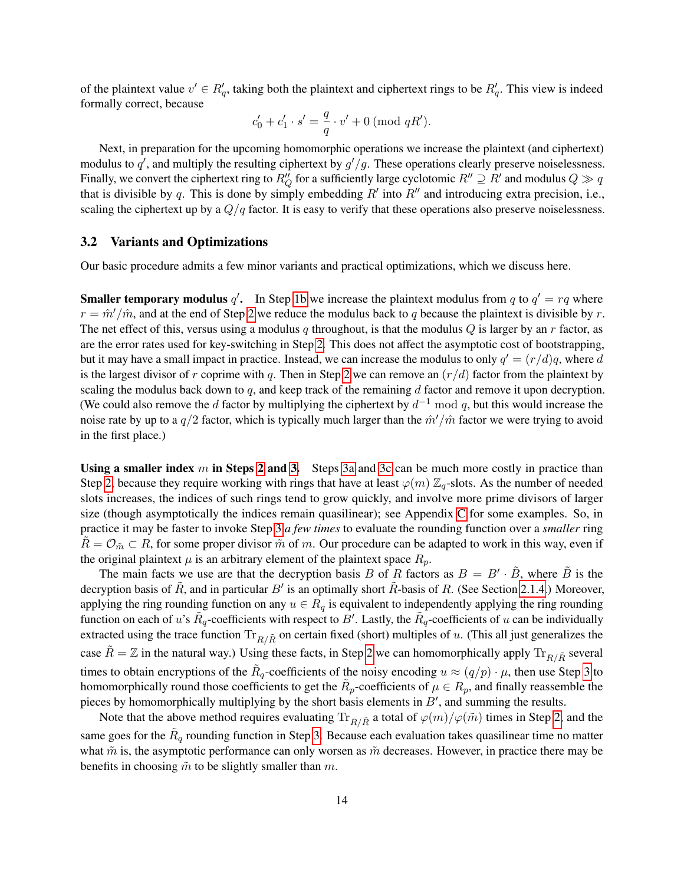of the plaintext value  $v' \in R'_q$ , taking both the plaintext and ciphertext rings to be  $R'_q$ . This view is indeed formally correct, because

$$
c'_0 + c'_1 \cdot s' = \frac{q}{q} \cdot v' + 0 \pmod{qR'}.
$$

Next, in preparation for the upcoming homomorphic operations we increase the plaintext (and ciphertext) modulus to  $q'$ , and multiply the resulting ciphertext by  $g'/g$ . These operations clearly preserve noiselessness. Finally, we convert the ciphertext ring to  $R''_Q$  for a sufficiently large cyclotomic  $R'' \supseteq R'$  and modulus  $Q \gg q$ that is divisible by q. This is done by simply embedding  $R'$  into  $R''$  and introducing extra precision, i.e., scaling the ciphertext up by a  $Q/q$  factor. It is easy to verify that these operations also preserve noiselessness.

#### <span id="page-14-0"></span>3.2 Variants and Optimizations

Our basic procedure admits a few minor variants and practical optimizations, which we discuss here.

**Smaller temporary modulus** q'. In Step [1b](#page-12-1) we increase the plaintext modulus from q to  $q' = rq$  where  $r = \hat{m}'/\hat{m}$ , and at the end of Step [2](#page-13-2) we reduce the modulus back to q because the plaintext is divisible by r. The net effect of this, versus using a modulus q throughout, is that the modulus Q is larger by an r factor, as are the error rates used for key-switching in Step [2.](#page-13-2) This does not affect the asymptotic cost of bootstrapping, but it may have a small impact in practice. Instead, we can increase the modulus to only  $q' = (r/d)q$ , where d is the largest divisor of r coprime with q. Then in Step [2](#page-13-2) we can remove an  $(r/d)$  factor from the plaintext by scaling the modulus back down to  $q$ , and keep track of the remaining  $d$  factor and remove it upon decryption. (We could also remove the d factor by multiplying the ciphertext by  $d^{-1}$  mod q, but this would increase the noise rate by up to a  $q/2$  factor, which is typically much larger than the  $\hat{m}'/\hat{m}$  factor we were trying to avoid in the first place.)

Using a smaller index  $m$  in Steps [2](#page-13-2) and [3.](#page-13-3) Steps [3a](#page-13-0) and [3c](#page-13-1) can be much more costly in practice than Step [2,](#page-13-2) because they require working with rings that have at least  $\varphi(m) \mathbb{Z}_q$ -slots. As the number of needed slots increases, the indices of such rings tend to grow quickly, and involve more prime divisors of larger size (though asymptotically the indices remain quasilinear); see Appendix [C](#page-25-0) for some examples. So, in practice it may be faster to invoke Step [3](#page-13-3) *a few times* to evaluate the rounding function over a *smaller* ring  $\tilde{R} = \mathcal{O}_{\tilde{m}} \subset R$ , for some proper divisor  $\tilde{m}$  of m. Our procedure can be adapted to work in this way, even if the original plaintext  $\mu$  is an arbitrary element of the plaintext space  $R_p$ .

The main facts we use are that the decryption basis B of R factors as  $B = B' \cdot \tilde{B}$ , where  $\tilde{B}$  is the decryption basis of  $\tilde{R}$ , and in particular  $B'$  is an optimally short  $\tilde{R}$ -basis of R. (See Section [2.1.4.](#page-8-0)) Moreover, applying the ring rounding function on any  $u \in R_q$  is equivalent to independently applying the ring rounding function on each of u's  $\tilde{R}_q$ -coefficients with respect to B'. Lastly, the  $\tilde{R}_q$ -coefficients of u can be individually extracted using the trace function  $\text{Tr}_{R/\tilde{R}}$  on certain fixed (short) multiples of u. (This all just generalizes the case  $R = \mathbb{Z}$  in the natural way.) Using these facts, in Step [2](#page-13-2) we can homomorphically apply  $\text{Tr}_{R/\tilde{R}}$  several times to obtain encryptions of the  $R_q$ -coefficients of the noisy encoding  $u \approx (q/p) \cdot \mu$ , then use Step [3](#page-13-3) to homomorphically round those coefficients to get the  $R_p$ -coefficients of  $\mu \in R_p$ , and finally reassemble the pieces by homomorphically multiplying by the short basis elements in  $B'$ , and summing the results.

Note that the above method requires evaluating  $\text{Tr}_{R/\tilde{R}}$  a total of  $\varphi(m)/\varphi(\tilde{m})$  times in Step [2,](#page-13-2) and the same goes for the  $\tilde R_q$  rounding function in Step [3.](#page-13-3) Because each evaluation takes quasilinear time no matter what  $\tilde{m}$  is, the asymptotic performance can only worsen as  $\tilde{m}$  decreases. However, in practice there may be benefits in choosing  $\tilde{m}$  to be slightly smaller than m.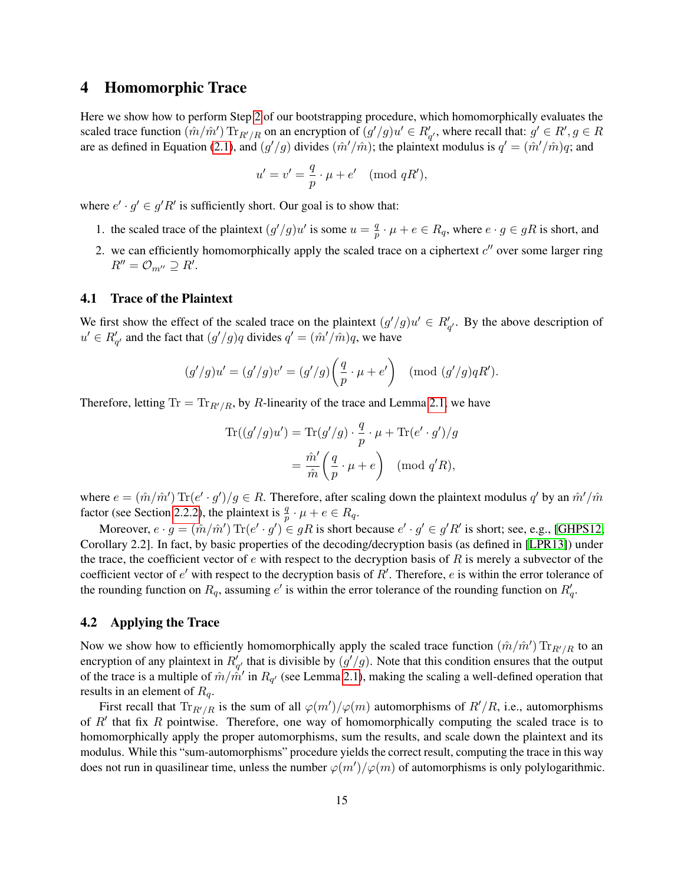# <span id="page-15-0"></span>4 Homomorphic Trace

Here we show how to perform Step [2](#page-13-2) of our bootstrapping procedure, which homomorphically evaluates the scaled trace function  $(\hat{m}/\hat{m}') \text{Tr}_{R'/R}$  on an encryption of  $(g'/g)u' \in R'_{q'}$ , where recall that:  $g' \in R', g \in R$ are as defined in Equation [\(2.1\)](#page-6-0), and  $(g'/g)$  divides  $(\hat{m}'/\hat{m})$ ; the plaintext modulus is  $q' = (\hat{m}'/\hat{m})q$ ; and

$$
u' = v' = \frac{q}{p} \cdot \mu + e' \pmod{qR'},
$$

where  $e' \cdot g' \in g'R'$  is sufficiently short. Our goal is to show that:

- 1. the scaled trace of the plaintext  $(g'/g)u'$  is some  $u = \frac{g}{n}$  $\frac{q}{p} \cdot \mu + e \in R_q$ , where  $e \cdot g \in gR$  is short, and
- 2. we can efficiently homomorphically apply the scaled trace on a ciphertext  $c''$  over some larger ring  $R'' = \mathcal{O}_{m''} \supseteq R'.$

#### 4.1 Trace of the Plaintext

We first show the effect of the scaled trace on the plaintext  $(g'/g)u' \in R'_{q'}$ . By the above description of  $u' \in R'_{q'}$  and the fact that  $(g'/g)q$  divides  $q' = (\hat{m}'/\hat{m})q$ , we have

$$
(g'/g)u' = (g'/g)v' = (g'/g)\left(\frac{q}{p} \cdot \mu + e'\right) \pmod{(g'/g)qR'}.
$$

Therefore, letting  $Tr = Tr_{R'/R}$ , by R-linearity of the trace and Lemma [2.1,](#page-6-1) we have

$$
\text{Tr}((g'/g)u') = \text{Tr}(g'/g) \cdot \frac{q}{p} \cdot \mu + \text{Tr}(e' \cdot g')/g
$$

$$
= \frac{\hat{m}'}{\hat{m}} \left(\frac{q}{p} \cdot \mu + e\right) \pmod{q'R},
$$

where  $e = (\hat{m}/\hat{m}') \text{Tr}(e' \cdot g')/g \in R$ . Therefore, after scaling down the plaintext modulus q' by an  $\hat{m}'/\hat{m}$ factor (see Section [2.2.2\)](#page-11-2), the plaintext is  $\frac{q}{p} \cdot \mu + e \in R_q$ .

Moreover,  $e \cdot g = (\hat{m}/\hat{m}') \operatorname{Tr}(e' \cdot g') \in gR$  is short because  $e' \cdot g' \in g'R'$  is short; see, e.g., [\[GHPS12,](#page-23-11) Corollary 2.2]. In fact, by basic properties of the decoding/decryption basis (as defined in [\[LPR13\]](#page-23-13)) under the trace, the coefficient vector of e with respect to the decryption basis of  $R$  is merely a subvector of the coefficient vector of  $e'$  with respect to the decryption basis of  $R'$ . Therefore,  $e$  is within the error tolerance of the rounding function on  $R_q$ , assuming  $e'$  is within the error tolerance of the rounding function on  $R'_q$ .

### 4.2 Applying the Trace

Now we show how to efficiently homomorphically apply the scaled trace function  $(\hat{m}/\hat{m}') \text{Tr}_{R'/R}$  to an encryption of any plaintext in  $R'_{q'}$  that is divisible by  $(g'/g)$ . Note that this condition ensures that the output of the trace is a multiple of  $m/\hat{m}'$  in  $R_{q'}$  (see Lemma [2.1\)](#page-6-1), making the scaling a well-defined operation that results in an element of  $R_q$ .

First recall that  $\text{Tr}_{R'/R}$  is the sum of all  $\varphi(m')/\varphi(m)$  automorphisms of  $R'/R$ , i.e., automorphisms of  $R'$  that fix  $R$  pointwise. Therefore, one way of homomorphically computing the scaled trace is to homomorphically apply the proper automorphisms, sum the results, and scale down the plaintext and its modulus. While this "sum-automorphisms" procedure yields the correct result, computing the trace in this way does not run in quasilinear time, unless the number  $\varphi(m')/\varphi(m)$  of automorphisms is only polylogarithmic.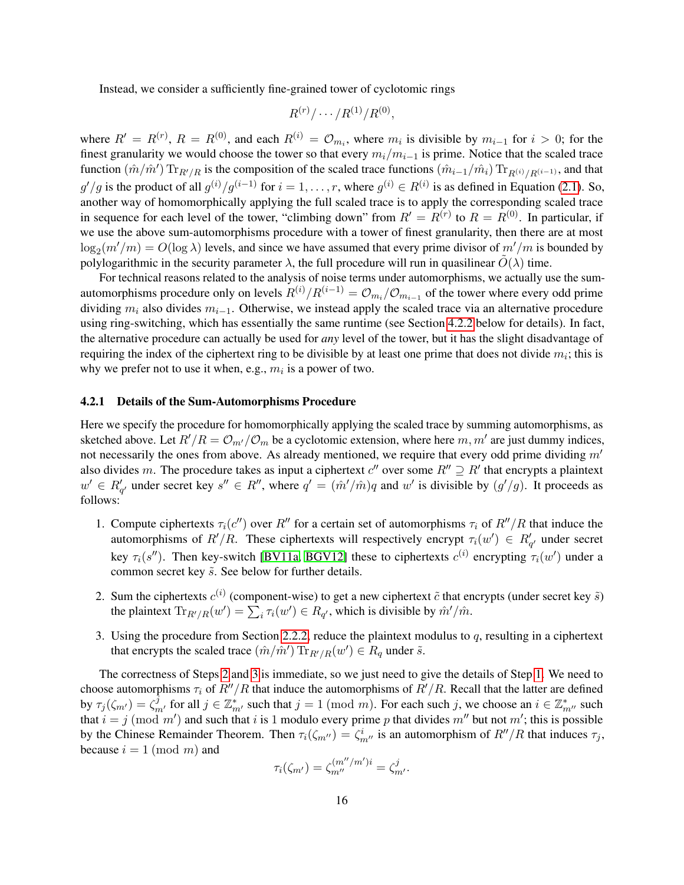Instead, we consider a sufficiently fine-grained tower of cyclotomic rings

$$
R^{(r)} / \cdots / R^{(1)} / R^{(0)},
$$

where  $R' = R^{(r)}$ ,  $R = R^{(0)}$ , and each  $R^{(i)} = \mathcal{O}_{m_i}$ , where  $m_i$  is divisible by  $m_{i-1}$  for  $i > 0$ ; for the finest granularity we would choose the tower so that every  $m_i/m_{i-1}$  is prime. Notice that the scaled trace function  $(\hat{m}/\hat{m}') \text{Tr}_{R'/R}$  is the composition of the scaled trace functions  $(\hat{m}_{i-1}/\hat{m}_i) \text{Tr}_{R^{(i)}/R^{(i-1)}}$ , and that  $g'/g$  is the product of all  $g^{(i)}/g^{(i-1)}$  for  $i=1,\ldots,r$ , where  $g^{(i)} \in R^{(i)}$  is as defined in Equation [\(2.1\)](#page-6-0). So, another way of homomorphically applying the full scaled trace is to apply the corresponding scaled trace in sequence for each level of the tower, "climbing down" from  $R' = R^{(r)}$  to  $R = R^{(0)}$ . In particular, if we use the above sum-automorphisms procedure with a tower of finest granularity, then there are at most  $\log_2(m'/m) = O(\log \lambda)$  levels, and since we have assumed that every prime divisor of  $m'/m$  is bounded by polylogarithmic in the security parameter  $\lambda$ , the full procedure will run in quasilinear  $O(\lambda)$  time.

For technical reasons related to the analysis of noise terms under automorphisms, we actually use the sumautomorphisms procedure only on levels  $R^{(i)}/R^{(i-1)}=\mathcal{O}_{m_i}/\mathcal{O}_{m_{i-1}}$  of the tower where every odd prime dividing  $m_i$  also divides  $m_{i-1}$ . Otherwise, we instead apply the scaled trace via an alternative procedure using ring-switching, which has essentially the same runtime (see Section [4.2.2](#page-17-0) below for details). In fact, the alternative procedure can actually be used for *any* level of the tower, but it has the slight disadvantage of requiring the index of the ciphertext ring to be divisible by at least one prime that does not divide  $m_i$ ; this is why we prefer not to use it when, e.g.,  $m_i$  is a power of two.

### 4.2.1 Details of the Sum-Automorphisms Procedure

Here we specify the procedure for homomorphically applying the scaled trace by summing automorphisms, as sketched above. Let  $R'/R = \mathcal{O}_{m'}/\mathcal{O}_m$  be a cyclotomic extension, where here  $m, m'$  are just dummy indices, not necessarily the ones from above. As already mentioned, we require that every odd prime dividing  $m'$ also divides m. The procedure takes as input a ciphertext  $c''$  over some  $R'' \supseteq R'$  that encrypts a plaintext  $w' \in R'_{q'}$  under secret key  $s'' \in R''$ , where  $q' = (\hat{m}'/\hat{m})q$  and w' is divisible by  $(g'/g)$ . It proceeds as follows:

- <span id="page-16-2"></span>1. Compute ciphertexts  $\tau_i(c'')$  over R'' for a certain set of automorphisms  $\tau_i$  of  $R''/R$  that induce the automorphisms of  $R'/R$ . These ciphertexts will respectively encrypt  $\tau_i(w') \in R'_{q'}$  under secret key  $\tau_i(s'')$ . Then key-switch [\[BV11a,](#page-23-4) [BGV12\]](#page-23-2) these to ciphertexts  $c^{(i)}$  encrypting  $\tau_i(w')$  under a common secret key  $\tilde{s}$ . See below for further details.
- <span id="page-16-0"></span>2. Sum the ciphertexts  $c^{(i)}$  (component-wise) to get a new ciphertext  $\tilde{c}$  that encrypts (under secret key  $\tilde{s}$ ) the plaintext  $\text{Tr}_{R'/R}(w') = \sum_i \tau_i(w') \in R_{q'}$ , which is divisible by  $\hat{m}'/\hat{m}$ .
- <span id="page-16-1"></span>3. Using the procedure from Section [2.2.2,](#page-11-2) reduce the plaintext modulus to  $q$ , resulting in a ciphertext that encrypts the scaled trace  $(\hat{m}/\hat{m}') \operatorname{Tr}_{R'/R}(w') \in R_q$  under  $\tilde{s}$ .

The correctness of Steps [2](#page-16-0) and [3](#page-16-1) is immediate, so we just need to give the details of Step [1.](#page-16-2) We need to choose automorphisms  $\tau_i$  of  $R''/R$  that induce the automorphisms of  $R'/R$ . Recall that the latter are defined by  $\tau_j(\zeta_{m'}) = \zeta_{m'}^j$  for all  $j \in \mathbb{Z}_{m'}^*$  such that  $j = 1 \pmod{m}$ . For each such j, we choose an  $i \in \mathbb{Z}_{m''}^*$  such that  $i = j \pmod{m'}$  and such that i is 1 modulo every prime p that divides  $m''$  but not m'; this is possible by the Chinese Remainder Theorem. Then  $\tau_i(\zeta_{m''}) = \zeta_{m''}^i$  is an automorphism of  $R''/R$  that induces  $\tau_j$ , because  $i = 1 \pmod{m}$  and

$$
\tau_i(\zeta_{m'}) = \zeta_{m''}^{(m''/m')i} = \zeta_{m'}^j.
$$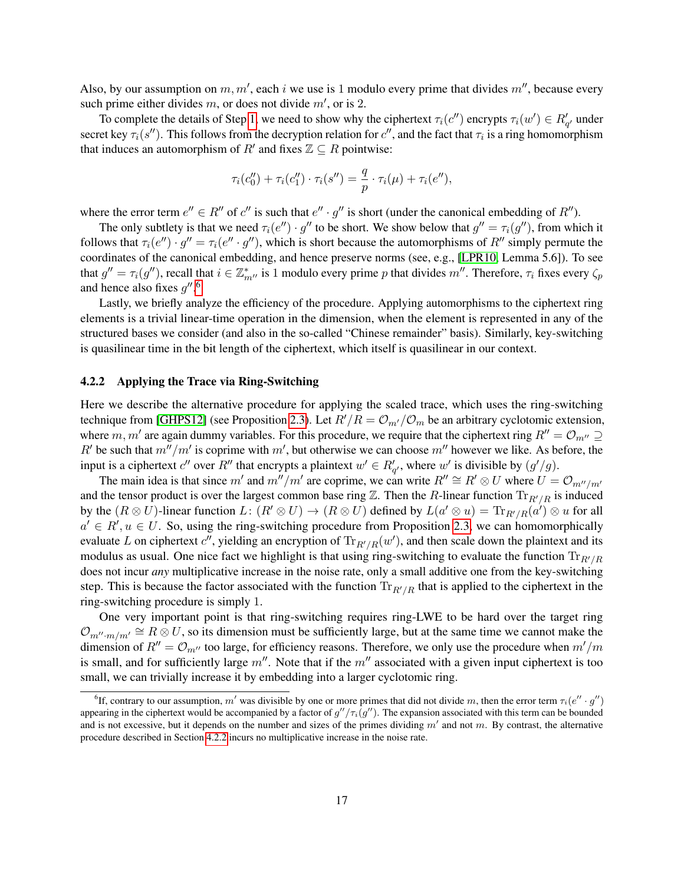Also, by our assumption on  $m, m'$ , each i we use is 1 modulo every prime that divides  $m''$ , because every such prime either divides  $m$ , or does not divide  $m'$ , or is 2.

To complete the details of Step [1,](#page-16-2) we need to show why the ciphertext  $\tau_i(c'')$  encrypts  $\tau_i(w') \in R'_{q'}$  under secret key  $\tau_i(s'')$ . This follows from the decryption relation for  $c''$ , and the fact that  $\tau_i$  is a ring homomorphism that induces an automorphism of R' and fixes  $\mathbb{Z} \subseteq R$  pointwise:

$$
\tau_i(c''_0) + \tau_i(c''_1) \cdot \tau_i(s'') = \frac{q}{p} \cdot \tau_i(\mu) + \tau_i(e''),
$$

where the error term  $e'' \in R''$  of  $c''$  is such that  $e'' \cdot g''$  is short (under the canonical embedding of  $R''$ ).

The only subtlety is that we need  $\tau_i(e'') \cdot g''$  to be short. We show below that  $g'' = \tau_i(g'')$ , from which it follows that  $\tau_i(e'') \cdot g'' = \tau_i(e'' \cdot g'')$ , which is short because the automorphisms of  $R''$  simply permute the coordinates of the canonical embedding, and hence preserve norms (see, e.g., [\[LPR10,](#page-23-12) Lemma 5.6]). To see that  $g'' = \tau_i(g'')$ , recall that  $i \in \mathbb{Z}_{m''}^*$  is 1 modulo every prime p that divides  $m''$ . Therefore,  $\tau_i$  fixes every  $\zeta_p$ and hence also fixes  $g''$ .<sup>[6](#page-17-1)</sup>

Lastly, we briefly analyze the efficiency of the procedure. Applying automorphisms to the ciphertext ring elements is a trivial linear-time operation in the dimension, when the element is represented in any of the structured bases we consider (and also in the so-called "Chinese remainder" basis). Similarly, key-switching is quasilinear time in the bit length of the ciphertext, which itself is quasilinear in our context.

#### <span id="page-17-0"></span>4.2.2 Applying the Trace via Ring-Switching

Here we describe the alternative procedure for applying the scaled trace, which uses the ring-switching technique from [\[GHPS12\]](#page-23-11) (see Proposition [2.3\)](#page-11-1). Let  $R'/R = \mathcal{O}_{m'}/\mathcal{O}_m$  be an arbitrary cyclotomic extension, where m, m' are again dummy variables. For this procedure, we require that the ciphertext ring  $R'' = \mathcal{O}_{m''} \supseteq R$ R' be such that  $m''/m'$  is coprime with m', but otherwise we can choose  $m''$  however we like. As before, the input is a ciphertext c'' over R'' that encrypts a plaintext  $w' \in R'_{q'}$ , where w' is divisible by  $(g'/g)$ .

The main idea is that since m' and  $m''/m'$  are coprime, we can write  $R'' \cong R' \otimes U$  where  $U = \mathcal{O}_{m''/m'}$ and the tensor product is over the largest common base ring  $\mathbb Z$ . Then the R-linear function  $\text{Tr}_{R'/R}$  is induced by the  $(R \otimes U)$ -linear function  $L: (R' \otimes U) \to (R \otimes U)$  defined by  $L(a' \otimes u) = \text{Tr}_{R'/R}(a') \otimes u$  for all  $a' \in R'$ ,  $u \in U$ . So, using the ring-switching procedure from Proposition [2.3,](#page-11-1) we can homomorphically evaluate L on ciphertext  $c''$ , yielding an encryption of  $\text{Tr}_{R'/R}(w')$ , and then scale down the plaintext and its modulus as usual. One nice fact we highlight is that using ring-switching to evaluate the function  $\text{Tr}_{R/R}$ does not incur *any* multiplicative increase in the noise rate, only a small additive one from the key-switching step. This is because the factor associated with the function  $\text{Tr}_{R'/R}$  that is applied to the ciphertext in the ring-switching procedure is simply 1.

One very important point is that ring-switching requires ring-LWE to be hard over the target ring  $\mathcal{O}_{m'' \cdot m/m'} \cong R \otimes U$ , so its dimension must be sufficiently large, but at the same time we cannot make the dimension of  $R'' = \mathcal{O}_{m''}$  too large, for efficiency reasons. Therefore, we only use the procedure when  $m'/m$ is small, and for sufficiently large  $m''$ . Note that if the  $m''$  associated with a given input ciphertext is too small, we can trivially increase it by embedding into a larger cyclotomic ring.

<span id="page-17-1"></span><sup>&</sup>lt;sup>6</sup>If, contrary to our assumption, m' was divisible by one or more primes that did not divide m, then the error term  $\tau_i(e'' \cdot g'')$ appearing in the ciphertext would be accompanied by a factor of  $g''/\tau_i(g'')$ . The expansion associated with this term can be bounded and is not excessive, but it depends on the number and sizes of the primes dividing  $m'$  and not  $m$ . By contrast, the alternative procedure described in Section [4.2.2](#page-17-0) incurs no multiplicative increase in the noise rate.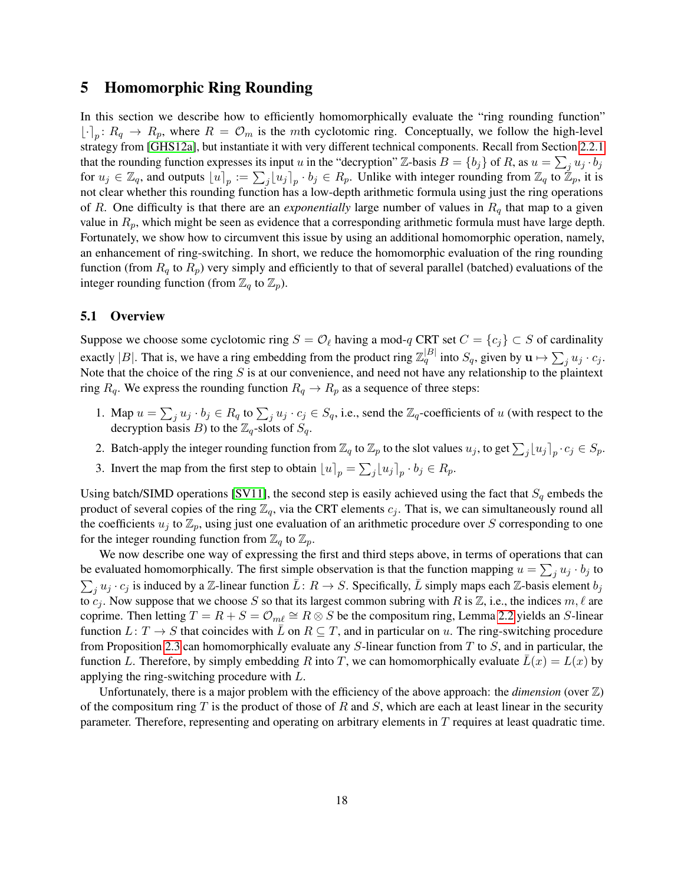## <span id="page-18-0"></span>5 Homomorphic Ring Rounding

In this section we describe how to efficiently homomorphically evaluate the "ring rounding function"  $[\cdot]_p: R_q \to R_p$ , where  $R = \mathcal{O}_m$  is the mth cyclotomic ring. Conceptually, we follow the high-level strategy from [\[GHS12a\]](#page-23-7), but instantiate it with very different technical components. Recall from Section [2.2.1](#page-10-3) that the rounding function expresses its input u in the "decryption"  $\mathbb{Z}$ -basis  $B = \{b_j\}$  of R, as  $u = \sum_j u_j \cdot b_j$ for  $u_j \in \mathbb{Z}_q$ , and outputs  $[u]_p := \sum_j [u_j]_p \cdot b_j \in R_p$ . Unlike with integer rounding from  $\mathbb{Z}_q$  to  $\mathbb{Z}_p$ , it is not clear whether this rounding function has a low-depth arithmetic formula using just the ring operations of R. One difficulty is that there are an *exponentially* large number of values in  $R<sub>q</sub>$  that map to a given value in  $R_p$ , which might be seen as evidence that a corresponding arithmetic formula must have large depth. Fortunately, we show how to circumvent this issue by using an additional homomorphic operation, namely, an enhancement of ring-switching. In short, we reduce the homomorphic evaluation of the ring rounding function (from  $R_q$  to  $R_p$ ) very simply and efficiently to that of several parallel (batched) evaluations of the integer rounding function (from  $\mathbb{Z}_q$  to  $\mathbb{Z}_p$ ).

### 5.1 Overview

Suppose we choose some cyclotomic ring  $S = \mathcal{O}_\ell$  having a mod-q CRT set  $C = \{c_i\} \subset S$  of cardinality exactly |B|. That is, we have a ring embedding from the product ring  $\mathbb{Z}_q^{|B|}$  into  $S_q$ , given by  $\mathbf{u} \mapsto \sum_j u_j \cdot c_j$ . Note that the choice of the ring  $S$  is at our convenience, and need not have any relationship to the plaintext ring  $R_q$ . We express the rounding function  $R_q \to R_p$  as a sequence of three steps:

- 1. Map  $u = \sum_j u_j \cdot b_j \in R_q$  to  $\sum_j u_j \cdot c_j \in S_q$ , i.e., send the  $\mathbb{Z}_q$ -coefficients of u (with respect to the decryption basis B) to the  $\mathbb{Z}_q$ -slots of  $S_q$ .
- 2. Batch-apply the integer rounding function from  $\mathbb{Z}_q$  to  $\mathbb{Z}_p$  to the slot values  $u_j$ , to get  $\sum_j [u_j]_p \cdot c_j \in S_p$ .
- 3. Invert the map from the first step to obtain  $[u]_p = \sum_j [u_j]_p \cdot b_j \in R_p$ .

Using batch/SIMD operations [\[SV11\]](#page-23-9), the second step is easily achieved using the fact that  $S_q$  embeds the product of several copies of the ring  $\mathbb{Z}_q$ , via the CRT elements  $c_j$ . That is, we can simultaneously round all the coefficients  $u_j$  to  $\mathbb{Z}_p$ , using just one evaluation of an arithmetic procedure over S corresponding to one for the integer rounding function from  $\mathbb{Z}_q$  to  $\mathbb{Z}_p$ .

We now describe one way of expressing the first and third steps above, in terms of operations that can be evaluated homomorphically. The first simple observation is that the function mapping  $u = \sum_j u_j \cdot b_j$  to  $\sum_j u_j \cdot c_j$  is induced by a Z-linear function  $\bar{L}: R \to S$ . Specifically,  $\bar{L}$  simply maps each Z-basis element  $b_j$ to  $c_j$ . Now suppose that we choose S so that its largest common subring with R is Z, i.e., the indices  $m, \ell$  are coprime. Then letting  $T = R + S = \mathcal{O}_{m\ell} \cong R \otimes S$  be the compositum ring, Lemma [2.2](#page-7-0) yields an S-linear function  $L: T \to S$  that coincides with L on  $R \subseteq T$ , and in particular on u. The ring-switching procedure from Proposition [2.3](#page-11-1) can homomorphically evaluate any  $S$ -linear function from  $T$  to  $S$ , and in particular, the function L. Therefore, by simply embedding R into T, we can homomorphically evaluate  $\bar{L}(x) = L(x)$  by applying the ring-switching procedure with L.

Unfortunately, there is a major problem with the efficiency of the above approach: the *dimension* (over  $\mathbb{Z}$ ) of the compositum ring  $T$  is the product of those of  $R$  and  $S$ , which are each at least linear in the security parameter. Therefore, representing and operating on arbitrary elements in  $T$  requires at least quadratic time.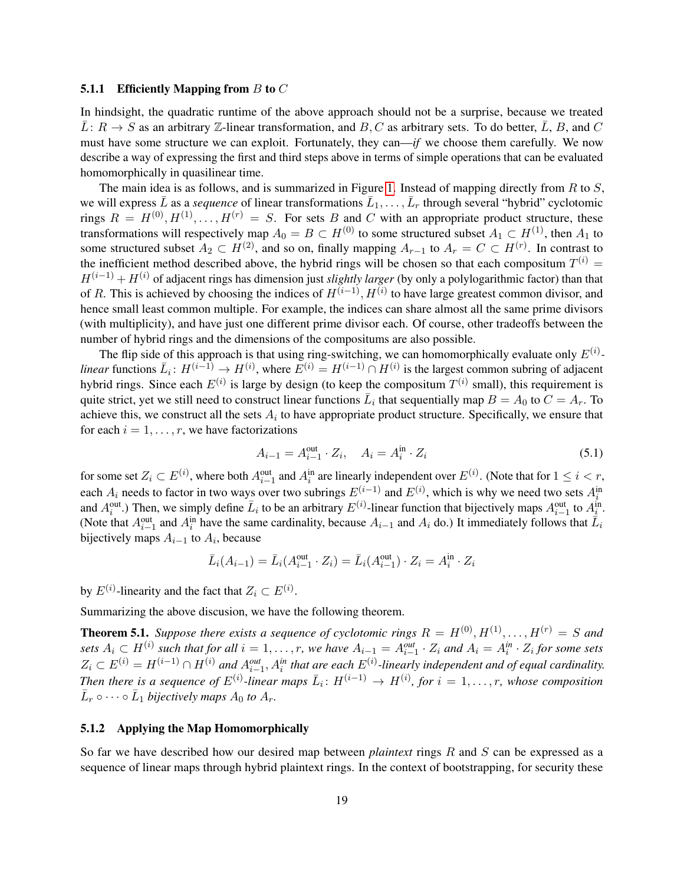#### **5.1.1 Efficiently Mapping from B to C**

In hindsight, the quadratic runtime of the above approach should not be a surprise, because we treated  $L: R \to S$  as an arbitrary Z-linear transformation, and B, C as arbitrary sets. To do better, L, B, and C must have some structure we can exploit. Fortunately, they can—*if* we choose them carefully. We now describe a way of expressing the first and third steps above in terms of simple operations that can be evaluated homomorphically in quasilinear time.

The main idea is as follows, and is summarized in Figure [1.](#page-20-1) Instead of mapping directly from  $R$  to  $S$ , we will express  $\bar{L}$  as a *sequence* of linear transformations  $\bar{L}_1, \ldots, \bar{L}_r$  through several "hybrid" cyclotomic rings  $R = H^{(0)}, H^{(1)}, \ldots, H^{(r)} = S$ . For sets B and C with an appropriate product structure, these transformations will respectively map  $A_0 = B \subset H^{(0)}$  to some structured subset  $A_1 \subset H^{(1)}$ , then  $A_1$  to some structured subset  $A_2 \subset H^{(2)}$ , and so on, finally mapping  $A_{r-1}$  to  $A_r = C \subset H^{(r)}$ . In contrast to the inefficient method described above, the hybrid rings will be chosen so that each compositum  $T^{(i)}$  =  $H^{(i-1)} + H^{(i)}$  of adjacent rings has dimension just *slightly larger* (by only a polylogarithmic factor) than that of R. This is achieved by choosing the indices of  $H^{(i-1)}$ ,  $H^{(i)}$  to have large greatest common divisor, and hence small least common multiple. For example, the indices can share almost all the same prime divisors (with multiplicity), and have just one different prime divisor each. Of course, other tradeoffs between the number of hybrid rings and the dimensions of the compositums are also possible.

The flip side of this approach is that using ring-switching, we can homomorphically evaluate only  $E^{(i)}$ *linear* functions  $\bar{L}_i: H^{(i-1)} \to H^{(i)}$ , where  $E^{(i)} = H^{(i-1)} \cap H^{(i)}$  is the largest common subring of adjacent hybrid rings. Since each  $E^{(i)}$  is large by design (to keep the compositum  $T^{(i)}$  small), this requirement is quite strict, yet we still need to construct linear functions  $\bar{L}_i$  that sequentially map  $B = A_0$  to  $\bar{C} = A_r$ . To achieve this, we construct all the sets  $A_i$  to have appropriate product structure. Specifically, we ensure that for each  $i = 1, \ldots, r$ , we have factorizations

<span id="page-19-1"></span>
$$
A_{i-1} = A_{i-1}^{\text{out}} \cdot Z_i, \quad A_i = A_i^{\text{in}} \cdot Z_i
$$
 (5.1)

for some set  $Z_i \subset E^{(i)}$ , where both  $A_{i-1}^{\text{out}}$  and  $A_i^{\text{in}}$  are linearly independent over  $E^{(i)}$ . (Note that for  $1 \le i < r$ , each  $A_i$  needs to factor in two ways over two subrings  $E^{(i-1)}$  and  $E^{(i)}$ , which is why we need two sets  $A_i^{\text{in}}$ Example 1.1 and  $A_i^{\text{out}}$ .) Then, we simply define  $\overline{L}_i$  to be an arbitrary  $E^{(i)}$ -linear function that bijectively maps  $A_{i-1}^{\text{out}}$  to  $A_i^{\text{in}}$ . (Note that  $A_{i-1}^{\text{out}}$  and  $A_i^{\text{in}}$  have the same cardinality, because  $A_{i-1}$  and  $A_i$  do.) It immediately follows that  $\tilde{L}_i$ bijectively maps  $A_{i-1}$  to  $A_i$ , because

$$
\bar{L}_i(A_{i-1}) = \bar{L}_i(A_{i-1}^{\text{out}} \cdot Z_i) = \bar{L}_i(A_{i-1}^{\text{out}}) \cdot Z_i = A_i^{\text{in}} \cdot Z_i
$$

by  $E^{(i)}$ -linearity and the fact that  $Z_i \subset E^{(i)}$ .

Summarizing the above discusion, we have the following theorem.

<span id="page-19-0"></span>**Theorem 5.1.** *Suppose there exists a sequence of cyclotomic rings*  $R = H^{(0)}, H^{(1)}, \ldots, H^{(r)} = S$  *and sets*  $A_i \subset H^{(i)}$  such that for all  $i = 1, \ldots, r$ , we have  $A_{i-1} = A_{i-1}^{out} \cdot Z_i$  and  $A_i = A_i^{in} \cdot Z_i$  for some sets  $Z_i \subset E^{(i)} = H^{(i-1)} \cap H^{(i)}$  and  $A^{out}_{i-1}, A^{in}_i$  that are each  $E^{(i)}$ -linearly independent and of equal cardinality. Then there is a sequence of  $E^{(i)}$ -linear maps  $\bar{L}_i: H^{(i-1)} \to H^{(i)}$ , for  $i = 1, \ldots, r$ , whose composition  $\bar{L}_r \circ \cdots \circ \bar{L}_1$  *bijectively maps*  $A_0$  *to*  $A_r$ .

#### <span id="page-19-2"></span>5.1.2 Applying the Map Homomorphically

So far we have described how our desired map between *plaintext* rings R and S can be expressed as a sequence of linear maps through hybrid plaintext rings. In the context of bootstrapping, for security these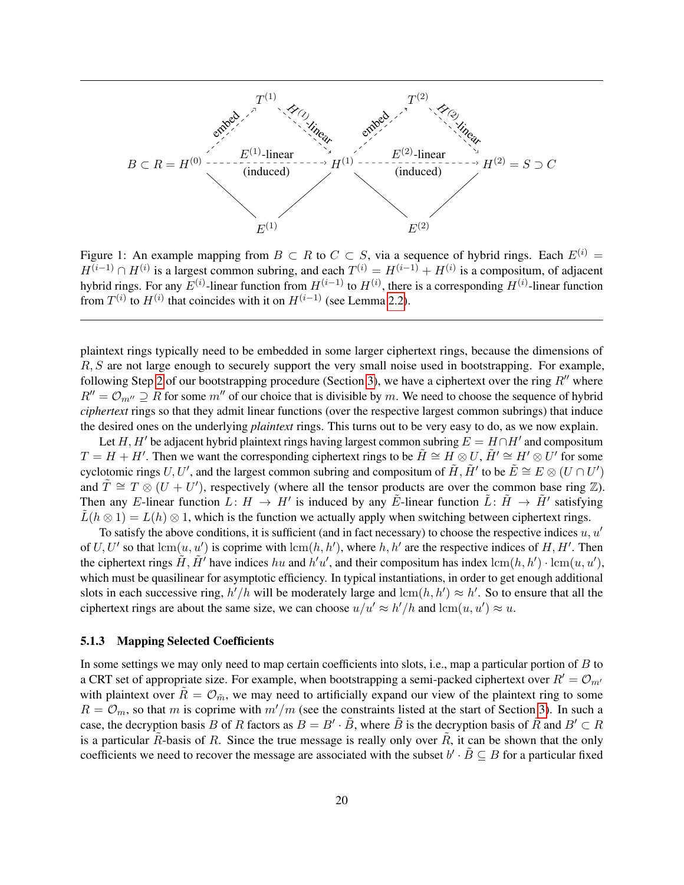<span id="page-20-1"></span>

Figure 1: An example mapping from  $B \subset R$  to  $C \subset S$ , via a sequence of hybrid rings. Each  $E^{(i)} =$  $H^{(i-1)} \cap H^{(i)}$  is a largest common subring, and each  $T^{(i)} = H^{(i-1)} + H^{(i)}$  is a compositum, of adjacent hybrid rings. For any  $E^{(i)}$ -linear function from  $H^{(i-1)}$  to  $H^{(i)}$ , there is a corresponding  $H^{(i)}$ -linear function from  $T^{(i)}$  to  $H^{(i)}$  that coincides with it on  $H^{(i-1)}$  (see Lemma [2.2\)](#page-7-0).

plaintext rings typically need to be embedded in some larger ciphertext rings, because the dimensions of  $R$ , S are not large enough to securely support the very small noise used in bootstrapping. For example, following Step [2](#page-13-2) of our bootstrapping procedure (Section [3\)](#page-11-0), we have a ciphertext over the ring  $R''$  where  $R'' = \mathcal{O}_{m''} \supseteq R$  for some  $m''$  of our choice that is divisible by m. We need to choose the sequence of hybrid *ciphertext* rings so that they admit linear functions (over the respective largest common subrings) that induce the desired ones on the underlying *plaintext* rings. This turns out to be very easy to do, as we now explain.

Let H, H' be adjacent hybrid plaintext rings having largest common subring  $E = H \cap H'$  and compositum  $T = H + H'$ . Then we want the corresponding ciphertext rings to be  $\tilde{H} \cong H \otimes U$ ,  $\tilde{H}' \cong H' \otimes U'$  for some cyclotomic rings U, U', and the largest common subring and compositum of  $\tilde{H}$ ,  $\tilde{H}'$  to be  $\tilde{E} \cong E \otimes (U \cap U')$ and  $\tilde{T} \cong T \otimes (U + U')$ , respectively (where all the tensor products are over the common base ring  $\mathbb{Z}$ ). Then any E-linear function  $\tilde{L}: H \to H'$  is induced by any  $\tilde{E}$ -linear function  $\tilde{L}: \tilde{H} \to \tilde{H}'$  satisfying  $L(h \otimes 1) = L(h) \otimes 1$ , which is the function we actually apply when switching between ciphertext rings.

To satisfy the above conditions, it is sufficient (and in fact necessary) to choose the respective indices  $u, u'$ of U, U' so that  $lcm(u, u')$  is coprime with  $lcm(h, h')$ , where  $h, h'$  are the respective indices of H, H'. Then the ciphertext rings  $\tilde{H}$ ,  $\tilde{H}'$  have indices hu and  $h'u'$ , and their compositum has index  $\text{lcm}(h, h') \cdot \text{lcm}(u, u')$ , which must be quasilinear for asymptotic efficiency. In typical instantiations, in order to get enough additional slots in each successive ring,  $h'/h$  will be moderately large and  $\text{lcm}(h, h') \approx h'$ . So to ensure that all the ciphertext rings are about the same size, we can choose  $u/u' \approx h'/h$  and  $\text{lcm}(u, u') \approx u$ .

#### <span id="page-20-0"></span>5.1.3 Mapping Selected Coefficients

In some settings we may only need to map certain coefficients into slots, i.e., map a particular portion of  $B$  to a CRT set of appropriate size. For example, when bootstrapping a semi-packed ciphertext over  $R' = \mathcal{O}_{m'}$ with plaintext over  $\tilde{R} = \mathcal{O}_{\tilde{m}}$ , we may need to artificially expand our view of the plaintext ring to some  $R = \mathcal{O}_m$ , so that m is coprime with  $m'/m$  (see the constraints listed at the start of Section [3\)](#page-11-0). In such a case, the decryption basis B of R factors as  $B = B' \cdot \tilde{B}$ , where  $\tilde{B}$  is the decryption basis of  $\tilde{R}$  and  $B' \subset R$ is a particular R-basis of R. Since the true message is really only over R, it can be shown that the only coefficients we need to recover the message are associated with the subset  $b' \cdot \tilde{B} \subseteq B$  for a particular fixed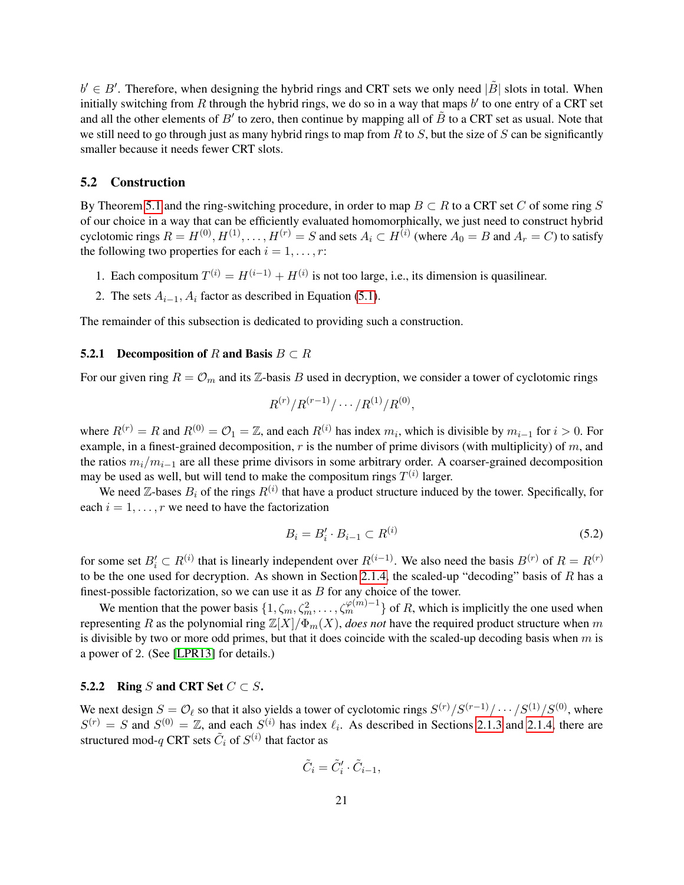$b' \in B'$ . Therefore, when designing the hybrid rings and CRT sets we only need  $|\tilde{B}|$  slots in total. When initially switching from R through the hybrid rings, we do so in a way that maps  $b'$  to one entry of a CRT set and all the other elements of B' to zero, then continue by mapping all of  $\tilde{B}$  to a CRT set as usual. Note that we still need to go through just as many hybrid rings to map from  $R$  to  $S$ , but the size of  $S$  can be significantly smaller because it needs fewer CRT slots.

#### 5.2 Construction

By Theorem [5.1](#page-19-0) and the ring-switching procedure, in order to map  $B \subset R$  to a CRT set C of some ring S of our choice in a way that can be efficiently evaluated homomorphically, we just need to construct hybrid cyclotomic rings  $R = H^{(0)}, H^{(1)}, \dots, H^{(r)} = S$  and sets  $A_i \subset H^{(i)}$  (where  $A_0 = B$  and  $A_r = C$ ) to satisfy the following two properties for each  $i = 1, \ldots, r$ :

- 1. Each compositum  $T^{(i)} = H^{(i-1)} + H^{(i)}$  is not too large, i.e., its dimension is quasilinear.
- 2. The sets  $A_{i-1}$ ,  $A_i$  factor as described in Equation [\(5.1\)](#page-19-1).

The remainder of this subsection is dedicated to providing such a construction.

#### **5.2.1** Decomposition of R and Basis  $B \subset R$

For our given ring  $R = \mathcal{O}_m$  and its Z-basis B used in decryption, we consider a tower of cyclotomic rings

$$
R^{(r)}/R^{(r-1)}/\cdots/R^{(1)}/R^{(0)},
$$

where  $R^{(r)} = R$  and  $R^{(0)} = \mathcal{O}_1 = \mathbb{Z}$ , and each  $R^{(i)}$  has index  $m_i$ , which is divisible by  $m_{i-1}$  for  $i > 0$ . For example, in a finest-grained decomposition,  $r$  is the number of prime divisors (with multiplicity) of  $m$ , and the ratios  $m_i/m_{i-1}$  are all these prime divisors in some arbitrary order. A coarser-grained decomposition may be used as well, but will tend to make the compositum rings  $T^{(i)}$  larger.

We need Z-bases  $B_i$  of the rings  $R^{(i)}$  that have a product structure induced by the tower. Specifically, for each  $i = 1, \ldots, r$  we need to have the factorization

<span id="page-21-0"></span>
$$
B_i = B'_i \cdot B_{i-1} \subset R^{(i)} \tag{5.2}
$$

for some set  $B_i' \subset R^{(i)}$  that is linearly independent over  $R^{(i-1)}$ . We also need the basis  $B^{(r)}$  of  $R = R^{(r)}$ to be the one used for decryption. As shown in Section [2.1.4,](#page-8-0) the scaled-up "decoding" basis of R has a finest-possible factorization, so we can use it as  $B$  for any choice of the tower.

We mention that the power basis  $\{1, \zeta_m, \zeta_m^2, \ldots, \zeta_m^{\varphi(m)-1}\}$  of R, which is implicitly the one used when representing R as the polynomial ring  $\mathbb{Z}[X]/\Phi_m(X)$ , *does not* have the required product structure when m is divisible by two or more odd primes, but that it does coincide with the scaled-up decoding basis when  $m$  is a power of 2. (See [\[LPR13\]](#page-23-13) for details.)

### 5.2.2 Ring S and CRT Set  $C \subset S$ .

We next design  $S = \mathcal{O}_\ell$  so that it also yields a tower of cyclotomic rings  $S^{(r)}/S^{(r-1)}/\cdots/S^{(1)}/S^{(0)}$ , where  $S^{(r)} = S$  and  $S^{(0)} = \mathbb{Z}$ , and each  $S^{(i)}$  has index  $\ell_i$ . As described in Sections [2.1.3](#page-7-1) and [2.1.4,](#page-8-0) there are structured mod-q CRT sets  $\tilde{C}_i$  of  $S^{(i)}$  that factor as

$$
\tilde{C}_i = \tilde{C}'_i \cdot \tilde{C}_{i-1},
$$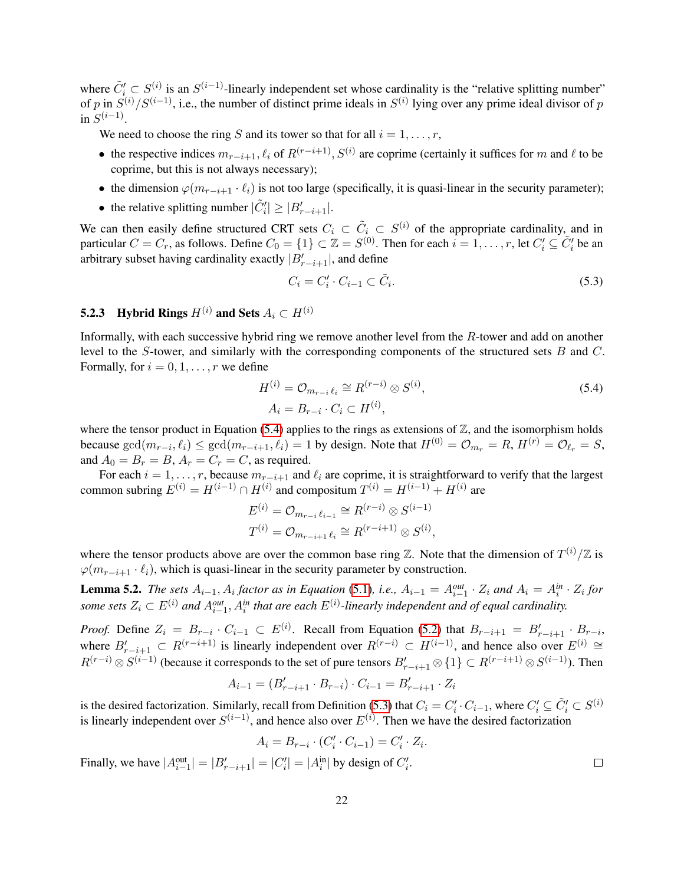where  $\tilde{C}'_i \subset S^{(i)}$  is an  $S^{(i-1)}$ -linearly independent set whose cardinality is the "relative splitting number" of p in  $S^{(i)}/S^{(i-1)}$ , i.e., the number of distinct prime ideals in  $S^{(i)}$  lying over any prime ideal divisor of p in  $S^{(i-1)}$ .

We need to choose the ring S and its tower so that for all  $i = 1, \ldots, r$ ,

- the respective indices  $m_{r-i+1}$ ,  $\ell_i$  of  $R^{(r-i+1)}$ ,  $S^{(i)}$  are coprime (certainly it suffices for m and  $\ell$  to be coprime, but this is not always necessary);
- the dimension  $\varphi(m_{r-i+1} \cdot \ell_i)$  is not too large (specifically, it is quasi-linear in the security parameter);
- the relative splitting number  $|\tilde{C}'_i| \geq |B'_{r-i+1}|$ .

We can then easily define structured CRT sets  $C_i \subset \tilde{C}_i \subset S^{(i)}$  of the appropriate cardinality, and in particular  $C = C_r$ , as follows. Define  $C_0 = \{1\} \subset \mathbb{Z} = S^{(0)}$ . Then for each  $i = 1, \ldots, r$ , let  $C'_i \subseteq \tilde{C}'_i$  be an arbitrary subset having cardinality exactly  $|B'_{r-i+1}|$ , and define

<span id="page-22-1"></span><span id="page-22-0"></span>
$$
C_i = C'_i \cdot C_{i-1} \subset \tilde{C}_i. \tag{5.3}
$$

# **5.2.3** Hybrid Rings  $H^{(i)}$  and Sets  $A_i \subset H^{(i)}$

Informally, with each successive hybrid ring we remove another level from the  $R$ -tower and add on another level to the S-tower, and similarly with the corresponding components of the structured sets B and C. Formally, for  $i = 0, 1, \ldots, r$  we define

$$
H^{(i)} = \mathcal{O}_{m_{r-i}\ell_i} \cong R^{(r-i)} \otimes S^{(i)},
$$
  
\n
$$
A_i = B_{r-i} \cdot C_i \subset H^{(i)},
$$
\n(5.4)

where the tensor product in Equation [\(5.4\)](#page-22-0) applies to the rings as extensions of  $\mathbb{Z}$ , and the isomorphism holds because  $\gcd(m_{r-i}, \ell_i) \leq \gcd(m_{r-i+1}, \ell_i) = 1$  by design. Note that  $H^{(0)} = \mathcal{O}_{m_r} = R$ ,  $H^{(r)} = \mathcal{O}_{\ell_r} = S$ , and  $A_0 = B_r = B$ ,  $A_r = C_r = C$ , as required.

For each  $i = 1, \ldots, r$ , because  $m_{r-i+1}$  and  $\ell_i$  are coprime, it is straightforward to verify that the largest common subring  $E^{(i)} = H^{(i-1)} \cap H^{(i)}$  and compositum  $T^{(i)} = H^{(i-1)} + H^{(i)}$  are

$$
E^{(i)} = \mathcal{O}_{m_{r-i}\ell_{i-1}} \cong R^{(r-i)} \otimes S^{(i-1)}
$$
  

$$
T^{(i)} = \mathcal{O}_{m_{r-i+1}\ell_i} \cong R^{(r-i+1)} \otimes S^{(i)},
$$

where the tensor products above are over the common base ring  $\mathbb Z$ . Note that the dimension of  $T^{(i)}/\mathbb Z$  is  $\varphi(m_{r-i+1} \cdot \ell_i)$ , which is quasi-linear in the security parameter by construction.

**Lemma 5.2.** *The sets*  $A_{i-1}$ ,  $A_i$  *factor as in Equation* [\(5.1\)](#page-19-1), *i.e.*,  $A_{i-1} = A_{i-1}^{out} \cdot Z_i$  *and*  $A_i = A_i^{in} \cdot Z_i$  *for* some sets  $Z_i \subset E^{(i)}$  and  $A^{out}_{i-1}$ ,  $A^{in}_i$  that are each  $E^{(i)}$ -linearly independent and of equal cardinality.

*Proof.* Define  $Z_i = B_{r-i} \cdot C_{i-1} \subset E^{(i)}$ . Recall from Equation [\(5.2\)](#page-21-0) that  $B_{r-i+1} = B'_{r-i+1} \cdot B_{r-i}$ , where  $B'_{r-i+1} \subset R^{(r-i+1)}$  is linearly independent over  $R^{(r-i)} \subset H^{(i-1)}$ , and hence also over  $E^{(i)} \cong$  $R^{(r-i)} \otimes S^{(i-1)}$  (because it corresponds to the set of pure tensors  $B'_{r-i+1} \otimes \{1\} \subset R^{(r-i+1)} \otimes S^{(i-1)}$ ). Then

$$
A_{i-1} = (B'_{r-i+1} \cdot B_{r-i}) \cdot C_{i-1} = B'_{r-i+1} \cdot Z_i
$$

is the desired factorization. Similarly, recall from Definition [\(5.3\)](#page-22-1) that  $C_i = C'_i \cdot C_{i-1}$ , where  $C'_i \subseteq \tilde{C}'_i \subset S^{(i)}$ is linearly independent over  $S^{(i-1)}$ , and hence also over  $E^{(i)}$ . Then we have the desired factorization

$$
A_i = B_{r-i} \cdot (C_i' \cdot C_{i-1}) = C_i' \cdot Z_i.
$$

Finally, we have  $|A_{i-1}^{\text{out}}| = |B'_{r-i+1}| = |C'_{i}| = |A_{i}^{\text{in}}|$  by design of  $C'_{i}$ .

 $\Box$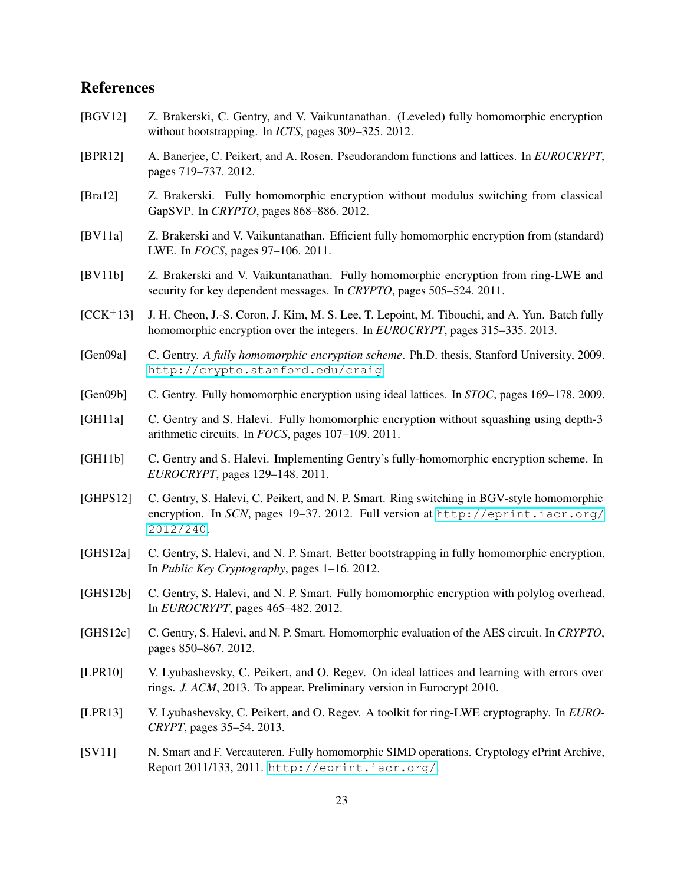# References

- <span id="page-23-2"></span>[BGV12] Z. Brakerski, C. Gentry, and V. Vaikuntanathan. (Leveled) fully homomorphic encryption without bootstrapping. In *ICTS*, pages 309–325. 2012.
- <span id="page-23-10"></span>[BPR12] A. Banerjee, C. Peikert, and A. Rosen. Pseudorandom functions and lattices. In *EUROCRYPT*, pages 719–737. 2012.
- <span id="page-23-16"></span>[Bra12] Z. Brakerski. Fully homomorphic encryption without modulus switching from classical GapSVP. In *CRYPTO*, pages 868–886. 2012.
- <span id="page-23-4"></span>[BV11a] Z. Brakerski and V. Vaikuntanathan. Efficient fully homomorphic encryption from (standard) LWE. In *FOCS*, pages 97–106. 2011.
- <span id="page-23-14"></span>[BV11b] Z. Brakerski and V. Vaikuntanathan. Fully homomorphic encryption from ring-LWE and security for key dependent messages. In *CRYPTO*, pages 505–524. 2011.
- <span id="page-23-8"></span> $[CCK<sup>+</sup>13]$  J. H. Cheon, J.-S. Coron, J. Kim, M. S. Lee, T. Lepoint, M. Tibouchi, and A. Yun. Batch fully homomorphic encryption over the integers. In *EUROCRYPT*, pages 315–335. 2013.
- <span id="page-23-1"></span>[Gen09a] C. Gentry. *A fully homomorphic encryption scheme*. Ph.D. thesis, Stanford University, 2009. <http://crypto.stanford.edu/craig>.
- <span id="page-23-0"></span>[Gen09b] C. Gentry. Fully homomorphic encryption using ideal lattices. In *STOC*, pages 169–178. 2009.
- <span id="page-23-5"></span>[GH11a] C. Gentry and S. Halevi. Fully homomorphic encryption without squashing using depth-3 arithmetic circuits. In *FOCS*, pages 107–109. 2011.
- <span id="page-23-3"></span>[GH11b] C. Gentry and S. Halevi. Implementing Gentry's fully-homomorphic encryption scheme. In *EUROCRYPT*, pages 129–148. 2011.
- <span id="page-23-11"></span>[GHPS12] C. Gentry, S. Halevi, C. Peikert, and N. P. Smart. Ring switching in BGV-style homomorphic encryption. In *SCN*, pages 19–37. 2012. Full version at [http://eprint.iacr.org/](http://eprint.iacr.org/2012/240) [2012/240](http://eprint.iacr.org/2012/240).
- <span id="page-23-7"></span>[GHS12a] C. Gentry, S. Halevi, and N. P. Smart. Better bootstrapping in fully homomorphic encryption. In *Public Key Cryptography*, pages 1–16. 2012.
- <span id="page-23-6"></span>[GHS12b] C. Gentry, S. Halevi, and N. P. Smart. Fully homomorphic encryption with polylog overhead. In *EUROCRYPT*, pages 465–482. 2012.
- <span id="page-23-15"></span>[GHS12c] C. Gentry, S. Halevi, and N. P. Smart. Homomorphic evaluation of the AES circuit. In *CRYPTO*, pages 850–867. 2012.
- <span id="page-23-12"></span>[LPR10] V. Lyubashevsky, C. Peikert, and O. Regev. On ideal lattices and learning with errors over rings. *J. ACM*, 2013. To appear. Preliminary version in Eurocrypt 2010.
- <span id="page-23-13"></span>[LPR13] V. Lyubashevsky, C. Peikert, and O. Regev. A toolkit for ring-LWE cryptography. In *EURO-CRYPT*, pages 35–54. 2013.
- <span id="page-23-9"></span>[SV11] N. Smart and F. Vercauteren. Fully homomorphic SIMD operations. Cryptology ePrint Archive, Report 2011/133, 2011. <http://eprint.iacr.org/>.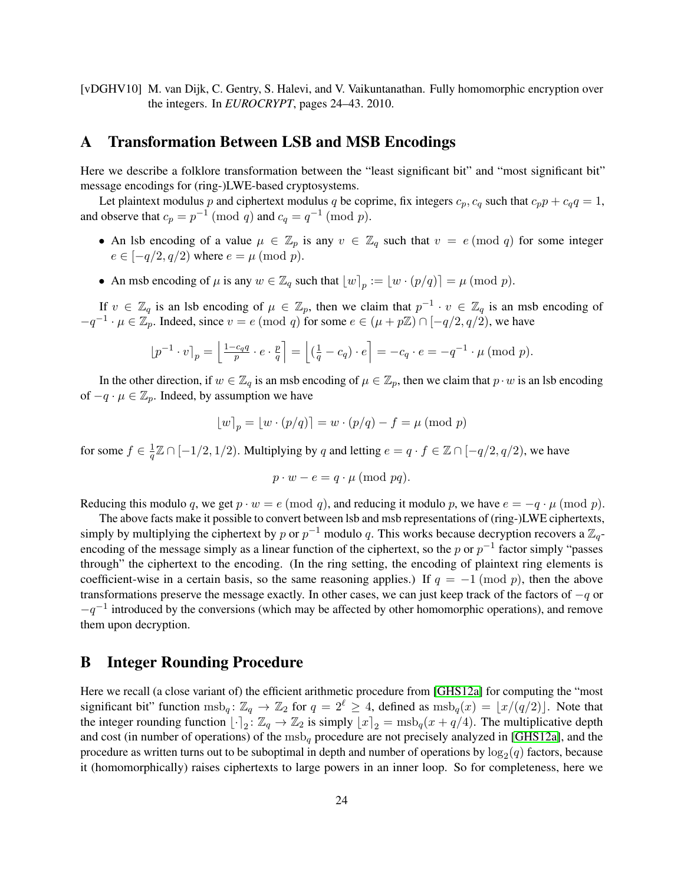<span id="page-24-0"></span>[vDGHV10] M. van Dijk, C. Gentry, S. Halevi, and V. Vaikuntanathan. Fully homomorphic encryption over the integers. In *EUROCRYPT*, pages 24–43. 2010.

### <span id="page-24-2"></span>A Transformation Between LSB and MSB Encodings

Here we describe a folklore transformation between the "least significant bit" and "most significant bit" message encodings for (ring-)LWE-based cryptosystems.

Let plaintext modulus p and ciphertext modulus q be coprime, fix integers  $c_p, c_q$  such that  $c_p p + c_q q = 1$ , and observe that  $c_p = p^{-1} \pmod{q}$  and  $c_q = q^{-1} \pmod{p}$ .

- An lsb encoding of a value  $\mu \in \mathbb{Z}_p$  is any  $v \in \mathbb{Z}_q$  such that  $v = e \pmod{q}$  for some integer  $e \in [-q/2, q/2)$  where  $e = \mu \pmod{p}$ .
- An msb encoding of  $\mu$  is any  $w \in \mathbb{Z}_q$  such that  $\lfloor w \rfloor_p := \lfloor w \cdot (p/q) \rfloor = \mu \pmod{p}$ .

If  $v \in \mathbb{Z}_q$  is an lsb encoding of  $\mu \in \mathbb{Z}_p$ , then we claim that  $p^{-1} \cdot v \in \mathbb{Z}_q$  is an msb encoding of  $-q^{-1} \cdot \mu \in \mathbb{Z}_p$ . Indeed, since  $v = e \pmod{q}$  for some  $e \in (\mu + p\mathbb{Z}) \cap [-q/2, q/2)$ , we have

$$
\lfloor p^{-1} \cdot v \rfloor_p = \left\lfloor \frac{1 - c_q q}{p} \cdot e \cdot \frac{p}{q} \right\rfloor = \left\lfloor \left( \frac{1}{q} - c_q \right) \cdot e \right\rfloor = -c_q \cdot e = -q^{-1} \cdot \mu \pmod{p}.
$$

In the other direction, if  $w \in \mathbb{Z}_q$  is an msb encoding of  $\mu \in \mathbb{Z}_p$ , then we claim that  $p \cdot w$  is an lsb encoding of  $-q \cdot \mu \in \mathbb{Z}_p$ . Indeed, by assumption we have

$$
\lfloor w \rceil_p = \lfloor w \cdot (p/q) \rceil = w \cdot (p/q) - f = \mu \pmod{p}
$$

for some  $f \in \frac{1}{a}$  $\frac{1}{q}\mathbb{Z} \cap [-1/2, 1/2)$ . Multiplying by q and letting  $e = q \cdot f \in \mathbb{Z} \cap [-q/2, q/2)$ , we have

$$
p \cdot w - e = q \cdot \mu \pmod{pq}.
$$

Reducing this modulo q, we get  $p \cdot w = e \pmod{q}$ , and reducing it modulo p, we have  $e = -q \cdot \mu \pmod{p}$ .

The above facts make it possible to convert between lsb and msb representations of (ring-)LWE ciphertexts, simply by multiplying the ciphertext by p or  $p^{-1}$  modulo q. This works because decryption recovers a  $\mathbb{Z}_q$ encoding of the message simply as a linear function of the ciphertext, so the p or  $p^{-1}$  factor simply "passes through" the ciphertext to the encoding. (In the ring setting, the encoding of plaintext ring elements is coefficient-wise in a certain basis, so the same reasoning applies.) If  $q = -1 \pmod{p}$ , then the above transformations preserve the message exactly. In other cases, we can just keep track of the factors of −q or  $-q^{-1}$  introduced by the conversions (which may be affected by other homomorphic operations), and remove them upon decryption.

# <span id="page-24-1"></span>B Integer Rounding Procedure

Here we recall (a close variant of) the efficient arithmetic procedure from [\[GHS12a\]](#page-23-7) for computing the "most significant bit" function  $m s b_q : \mathbb{Z}_q \to \mathbb{Z}_2$  for  $q = 2^{\ell} \geq 4$ , defined as  $m s b_q(x) = |x/(q/2)|$ . Note that the integer rounding function  $\lfloor \cdot \rceil_2$ :  $\mathbb{Z}_q \to \mathbb{Z}_2$  is simply  $\lfloor x \rceil_2 = \text{msb}_q(x + q/4)$ . The multiplicative depth and cost (in number of operations) of the  $msb<sub>q</sub>$  procedure are not precisely analyzed in [\[GHS12a\]](#page-23-7), and the procedure as written turns out to be suboptimal in depth and number of operations by  $\log_2(q)$  factors, because it (homomorphically) raises ciphertexts to large powers in an inner loop. So for completeness, here we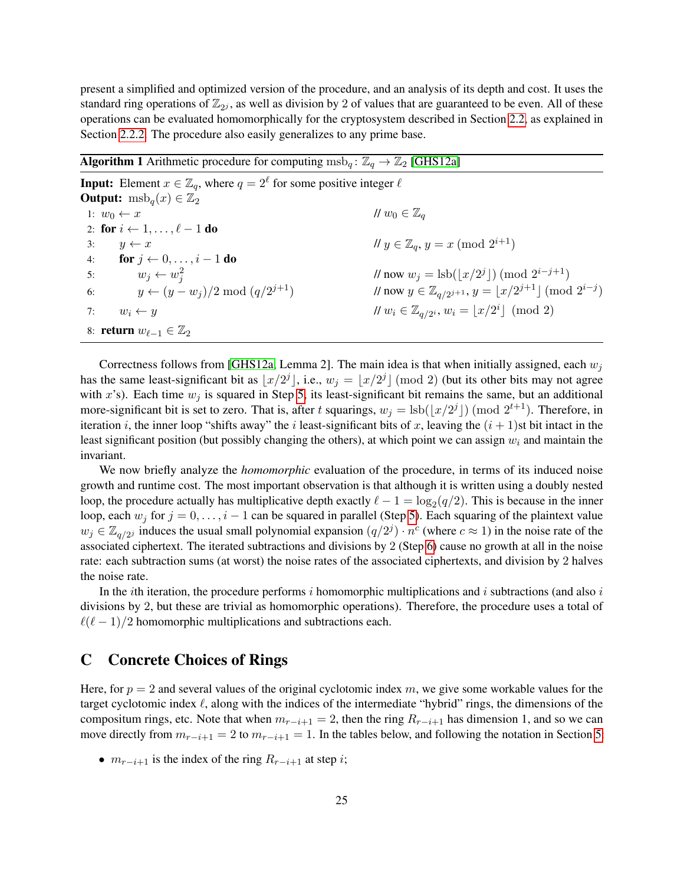present a simplified and optimized version of the procedure, and an analysis of its depth and cost. It uses the standard ring operations of  $\mathbb{Z}_{2^j}$ , as well as division by 2 of values that are guaranteed to be even. All of these operations can be evaluated homomorphically for the cryptosystem described in Section [2.2,](#page-9-0) as explained in Section [2.2.2.](#page-11-2) The procedure also easily generalizes to any prime base.

<span id="page-25-1"></span>

| <b>Algorithm 1</b> Arithmetic procedure for computing $msb_q: \mathbb{Z}_q \rightarrow \mathbb{Z}_2$ [GHS12a] |                                                                                     |  |  |  |  |
|---------------------------------------------------------------------------------------------------------------|-------------------------------------------------------------------------------------|--|--|--|--|
| <b>Input:</b> Element $x \in \mathbb{Z}_q$ , where $q = 2^{\ell}$ for some positive integer $\ell$            |                                                                                     |  |  |  |  |
| <b>Output:</b> msb <sub>q</sub> $(x) \in \mathbb{Z}_2$                                                        |                                                                                     |  |  |  |  |
| 1: $w_0 \leftarrow x$                                                                                         | $\mathcal{U} w_0 \in \mathbb{Z}_q$                                                  |  |  |  |  |
| 2: for $i \leftarrow 1, \ldots, \ell - 1$ do                                                                  |                                                                                     |  |  |  |  |
| 3:<br>$y \leftarrow x$                                                                                        | $\mathcal{U} y \in \mathbb{Z}_q, y = x \pmod{2^{i+1}}$                              |  |  |  |  |
| <b>for</b> $j \leftarrow 0, \ldots, i-1$ <b>do</b><br>4:                                                      |                                                                                     |  |  |  |  |
| $w_j \leftarrow w_j^2$<br>5:                                                                                  | // now $w_j = \frac{\text{lsb}(\frac{x}{2^j})}{\text{mod } 2^{i-j+1}}$              |  |  |  |  |
| $y \leftarrow (y - w_i)/2 \mod (q/2^{j+1})$<br>6:                                                             | // now $y \in \mathbb{Z}_{q/2^{j+1}}, y = \lfloor x/2^{j+1} \rfloor \pmod{2^{i-j}}$ |  |  |  |  |
| 7:<br>$w_i \leftarrow y$                                                                                      | $\mathcal{U} w_i \in \mathbb{Z}_{q/2^i}, w_i = \lfloor x/2^i \rfloor \pmod{2}$      |  |  |  |  |
| 8: return $w_{\ell-1} \in \mathbb{Z}_2$                                                                       |                                                                                     |  |  |  |  |

Correctness follows from [\[GHS12a,](#page-23-7) Lemma 2]. The main idea is that when initially assigned, each  $w_j$ has the same least-significant bit as  $\lfloor x/2^j \rfloor$ , i.e.,  $w_j = \lfloor x/2^j \rfloor \pmod{2}$  (but its other bits may not agree with x's). Each time  $w_j$  is squared in Step [5,](#page-25-1) its least-significant bit remains the same, but an additional more-significant bit is set to zero. That is, after t squarings,  $w_j = \text{lsb}(\lfloor x/2^j \rfloor) \pmod{2^{t+1}}$ . Therefore, in iteration i, the inner loop "shifts away" the i least-significant bits of x, leaving the  $(i + 1)$ st bit intact in the least significant position (but possibly changing the others), at which point we can assign  $w_i$  and maintain the invariant.

We now briefly analyze the *homomorphic* evaluation of the procedure, in terms of its induced noise growth and runtime cost. The most important observation is that although it is written using a doubly nested loop, the procedure actually has multiplicative depth exactly  $\ell - 1 = \log_2(q/2)$ . This is because in the inner loop, each  $w_j$  for  $j = 0, \ldots, i - 1$  can be squared in parallel (Step [5\)](#page-25-1). Each squaring of the plaintext value  $w_j \in \mathbb{Z}_{q/2^j}$  induces the usual small polynomial expansion  $(q/2^j) \cdot n^c$  (where  $c \approx 1$ ) in the noise rate of the associated ciphertext. The iterated subtractions and divisions by 2 (Step [6\)](#page-25-1) cause no growth at all in the noise rate: each subtraction sums (at worst) the noise rates of the associated ciphertexts, and division by 2 halves the noise rate.

In the *i*th iteration, the procedure performs i homomorphic multiplications and i subtractions (and also i divisions by 2, but these are trivial as homomorphic operations). Therefore, the procedure uses a total of  $\ell(\ell - 1)/2$  homomorphic multiplications and subtractions each.

# <span id="page-25-0"></span>C Concrete Choices of Rings

Here, for  $p = 2$  and several values of the original cyclotomic index m, we give some workable values for the target cyclotomic index  $\ell$ , along with the indices of the intermediate "hybrid" rings, the dimensions of the compositum rings, etc. Note that when  $m_{r-i+1} = 2$ , then the ring  $R_{r-i+1}$  has dimension 1, and so we can move directly from  $m_{r-i+1} = 2$  to  $m_{r-i+1} = 1$ . In the tables below, and following the notation in Section [5:](#page-18-0)

•  $m_{r-i+1}$  is the index of the ring  $R_{r-i+1}$  at step *i*;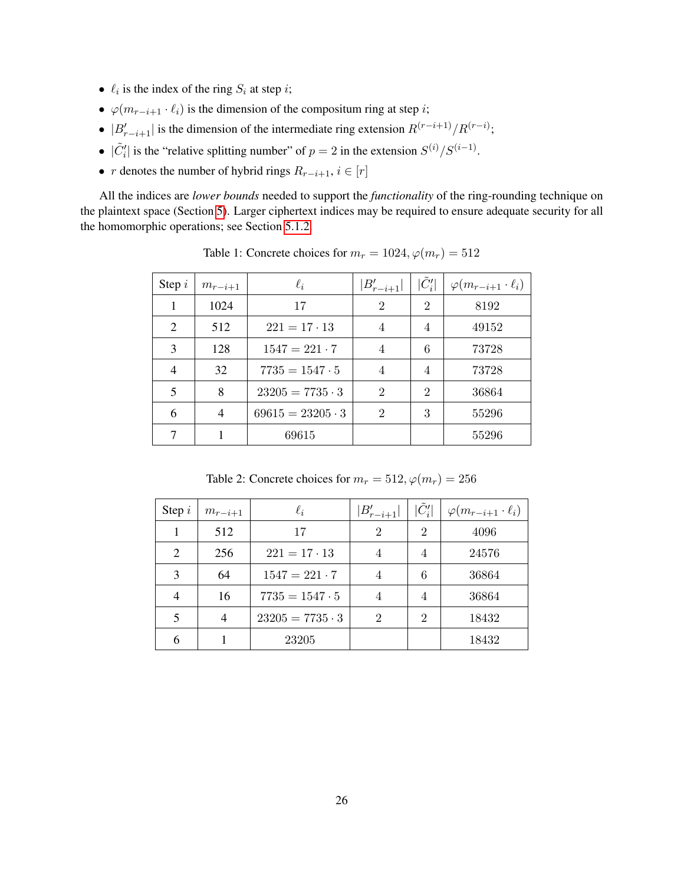- $\ell_i$  is the index of the ring  $S_i$  at step *i*;
- $\varphi(m_{r-i+1} \cdot \ell_i)$  is the dimension of the compositum ring at step *i*;
- $|B'_{r-i+1}|$  is the dimension of the intermediate ring extension  $R^{(r-i+1)}/R^{(r-i)}$ ;
- $|\tilde{C}'_i|$  is the "relative splitting number" of  $p = 2$  in the extension  $S^{(i)}/S^{(i-1)}$ .
- *r* denotes the number of hybrid rings  $R_{r-i+1}$ ,  $i \in [r]$

All the indices are *lower bounds* needed to support the *functionality* of the ring-rounding technique on the plaintext space (Section [5\)](#page-18-0). Larger ciphertext indices may be required to ensure adequate security for all the homomorphic operations; see Section [5.1.2.](#page-19-2)

| Step $i$       | $m_{r-i+1}$ | $\ell_i$                | $ B'_{r-i+1} $              | $ C_i' $       | $\varphi(m_{r-i+1}\cdot\ell_i)$ |
|----------------|-------------|-------------------------|-----------------------------|----------------|---------------------------------|
|                | 1024        | 17                      | $\overline{2}$              | $\overline{2}$ | 8192                            |
| 2              | 512         | $221 = 17 \cdot 13$     | 4                           | 4              | 49152                           |
| 3              | 128         | $1547 = 221 \cdot 7$    | 4                           | 6              | 73728                           |
| $\overline{4}$ | 32          | $7735 = 1547 \cdot 5$   | $\overline{4}$              | 4              | 73728                           |
| 5              | 8           | $23205 = 7735 \cdot 3$  | $\mathfrak{D}$              | $\overline{2}$ | 36864                           |
| 6              | 4           | $69615 = 23205 \cdot 3$ | $\mathcal{D}_{\mathcal{L}}$ | 3              | 55296                           |
| 7              |             | 69615                   |                             |                | 55296                           |

Table 1: Concrete choices for  $m_r = 1024, \varphi(m_r) = 512$ 

Table 2: Concrete choices for  $m_r = 512, \varphi(m_r) = 256$ 

| Step $i$ | $m_{r-i+1}$ | $\ell_i$               | $ B'_{r-i+1} $ | $ \tilde{C}_i' $ | $\varphi(m_{r-i+1}\cdot\ell_i)$ |
|----------|-------------|------------------------|----------------|------------------|---------------------------------|
|          | 512         | 17                     | $\overline{2}$ | $\overline{2}$   | 4096                            |
| 2        | 256         | $221 = 17 \cdot 13$    | 4              | $\overline{4}$   | 24576                           |
| 3        | 64          | $1547 = 221 \cdot 7$   | 4              | 6                | 36864                           |
| 4        | 16          | $7735 = 1547 \cdot 5$  | 4              | 4                | 36864                           |
| 5        | 4           | $23205 = 7735 \cdot 3$ | $\overline{2}$ | $\overline{2}$   | 18432                           |
| 6        |             | 23205                  |                |                  | 18432                           |